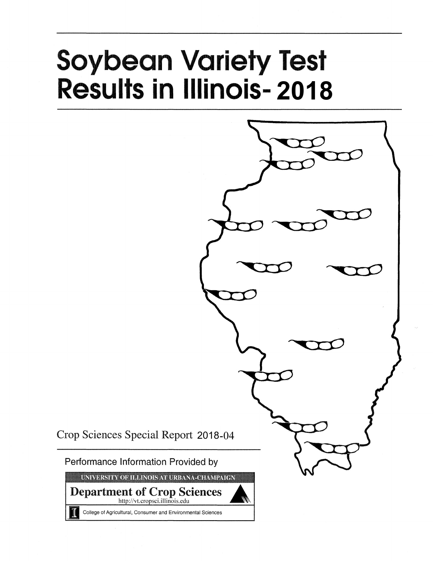# **Soybean Variety Test Results in Illinois-2018**



Crop Sciences Special Report 2018-04

Performance Information Provided by

UNIVERSITY OF ILLINOIS AT URBANA-CHAMPAIGN

**Department of Crop Sciences** http://vt.cropsci.illinois.edu

College of Agricultural, Consumer and Environmental Sciences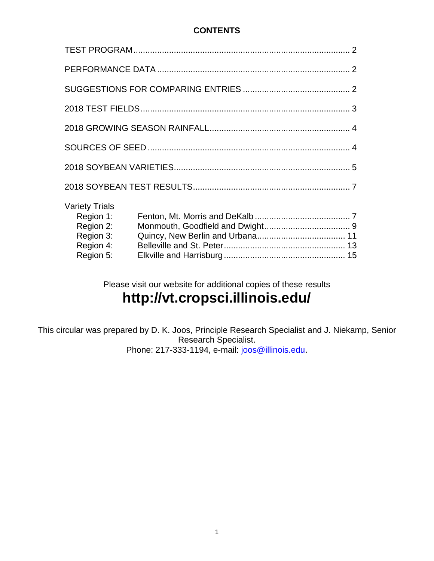## **CONTENTS**

| <b>Variety Trials</b><br>Region 1:<br>Region 2:<br>Region 3:<br>Region 4:<br>Region 5: |  |
|----------------------------------------------------------------------------------------|--|

Please visit our website for additional copies of these results

# **http://vt.cropsci.illinois.edu/**

This circular was prepared by D. K. Joos, Principle Research Specialist and J. Niekamp, Senior Research Specialist. Phone: 217-333-1194, e-mail: [joos@illinois.edu.](mailto:joos@illinois.edu)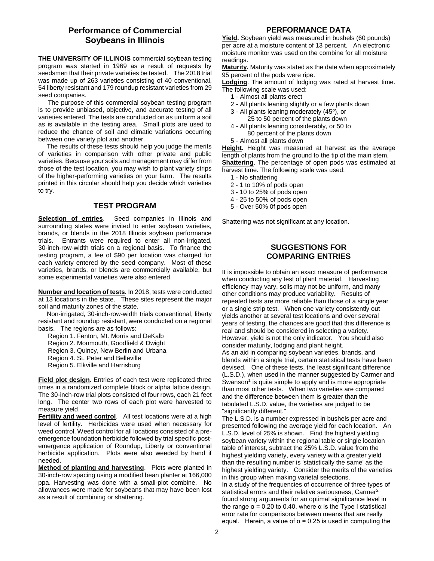### **Performance of Commercial Soybeans in Illinois**

**THE UNIVERSITY OF ILLINOIS** commercial soybean testing program was started in 1969 as a result of requests by seedsmen that their private varieties be tested. The 2018 trial was made up of 263 varieties consisting of 40 conventional, 54 liberty resistant and 179 roundup resistant varieties from 29 seed companies.

The purpose of this commercial soybean testing program is to provide unbiased, objective, and accurate testing of all varieties entered. The tests are conducted on as uniform a soil as is available in the testing area. Small plots are used to reduce the chance of soil and climatic variations occurring between one variety plot and another.

The results of these tests should help you judge the merits of varieties in comparison with other private and public varieties. Because your soils and management may differ from those of the test location, you may wish to plant variety strips of the higher-performing varieties on your farm. The results printed in this circular should help you decide which varieties to try.

#### **TEST PROGRAM**

**Selection of entries.** Seed companies in Illinois and surrounding states were invited to enter soybean varieties, brands, or blends in the 2018 Illinois soybean performance trials. Entrants were required to enter all non-irrigated, 30-inch-row-width trials on a regional basis. To finance the testing program, a fee of \$90 per location was charged for each variety entered by the seed company. Most of these varieties, brands, or blends are commercially available, but some experimental varieties were also entered.

**Number and location of tests**. In 2018, tests were conducted at 13 locations in the state. These sites represent the major soil and maturity zones of the state.

Non-irrigated, 30-inch-row-width trials conventional, liberty resistant and roundup resistant, were conducted on a regional basis. The regions are as follows:

Region 1. Fenton, Mt. Morris and DeKalb

Region 2. Monmouth, Goodfield & Dwight

Region 3. Quincy, New Berlin and Urbana

Region 4. St. Peter and Belleville

Region 5. Elkville and Harrisburg

**Field plot design**. Entries of each test were replicated three times in a randomized complete block or alpha lattice design. The 30-inch-row trial plots consisted of four rows, each 21 feet long. The center two rows of each plot were harvested to measure yield.

**Fertility and weed control**. All test locations were at a high level of fertility. Herbicides were used when necessary for weed control. Weed control for all locations consisted of a preemergence foundation herbicide followed by trial specific postemergence application of Roundup, Liberty or conventional herbicide application. Plots were also weeded by hand if needed.

**Method of planting and harvesting**. Plots were planted in 30-inch-row spacing using a modified bean planter at 166,000 ppa. Harvesting was done with a small-plot combine. No allowances were made for soybeans that may have been lost as a result of combining or shattering.

#### **PERFORMANCE DATA**

**Yield.** Soybean yield was measured in bushels (60 pounds) per acre at a moisture content of 13 percent. An electronic moisture monitor was used on the combine for all moisture readings.

**Maturity.** Maturity was stated as the date when approximately 95 percent of the pods were ripe.

**Lodging**. The amount of lodging was rated at harvest time. The following scale was used:

- 1 Almost all plants erect
- 2 All plants leaning slightly or a few plants down
- 3 All plants leaning moderately (45°), or
	- 25 to 50 percent of the plants down
- 4 All plants leaning considerably, or 50 to 80 percent of the plants down
- 5 Almost all plants down

**Height.** Height was measured at harvest as the average length of plants from the ground to the tip of the main stem. **Shattering**. The percentage of open pods was estimated at harvest time. The following scale was used:

- 1 No shattering
- 2 1 to 10% of pods open
- 3 10 to 25% of pods open
- 4 25 to 50% of pods open
- 5 Over 50% 0f pods open

Shattering was not significant at any location.

#### **SUGGESTIONS FOR COMPARING ENTRIES**

It is impossible to obtain an exact measure of performance when conducting any test of plant material. Harvesting efficiency may vary, soils may not be uniform, and many other conditions may produce variability. Results of repeated tests are more reliable than those of a single year or a single strip test. When one variety consistently out yields another at several test locations and over several years of testing, the chances are good that this difference is real and should be considered in selecting a variety. However, yield is not the only indicator. You should also consider maturity, lodging and plant height. As an aid in comparing soybean varieties, brands, and blends within a single trial, certain statistical tests have been devised. One of these tests, the least significant difference (L.S.D.), when used in the manner suggested by Carmer and Swanson<sup>1</sup> is quite simple to apply and is more appropriate than most other tests. When two varieties are compared and the difference between them is greater than the tabulated L.S.D. value, the varieties are judged to be "significantly different."

The L.S.D. is a number expressed in bushels per acre and presented following the average yield for each location. An L.S.D. level of 25% is shown. Find the highest yielding soybean variety within the regional table or single location table of interest, subtract the 25% L.S.D. value from the highest yielding variety, every variety with a greater yield than the resulting number is 'statistically the same' as the highest yielding variety. Consider the merits of the varieties in this group when making varietal selections. In a study of the frequencies of occurrence of three types of statistical errors and their relative seriousness, Carmer<sup>2</sup> found strong arguments for an optimal significance level in the range  $α = 0.20$  to 0.40, where  $α$  is the Type I statistical error rate for comparisons between means that are really equal. Herein, a value of  $\alpha$  = 0.25 is used in computing the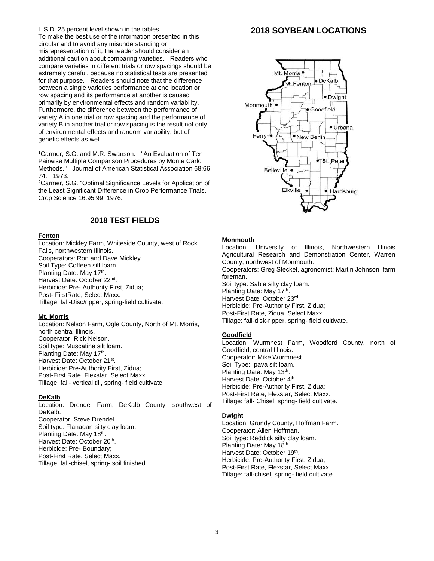#### L.S.D. 25 percent level shown in the tables.

To make the best use of the information presented in this circular and to avoid any misunderstanding or misrepresentation of it, the reader should consider an additional caution about comparing varieties. Readers who compare varieties in different trials or row spacings should be extremely careful, because no statistical tests are presented for that purpose. Readers should note that the difference between a single varieties performance at one location or row spacing and its performance at another is caused primarily by environmental effects and random variability. Furthermore, the difference between the performance of variety A in one trial or row spacing and the performance of variety B in another trial or row spacing is the result not only of environmental effects and random variability, but of genetic effects as well.

<sup>1</sup>Carmer, S.G. and M.R. Swanson. "An Evaluation of Ten Pairwise Multiple Comparison Procedures by Monte Carlo Methods." Journal of American Statistical Association 68:66 74. 1973.

<sup>2</sup>Carmer, S.G. "Optimal Significance Levels for Application of the Least Significant Difference in Crop Performance Trials." Crop Science 16:95 99, 1976.

#### **2018 TEST FIELDS**

#### **Fenton**

Location: Mickley Farm, Whiteside County, west of Rock Falls, northwestern Illinois. Cooperators: Ron and Dave Mickley. Soil Type: Coffeen silt loam. Planting Date: May 17<sup>th</sup>. Harvest Date: October 22<sup>nd</sup>. Herbicide: Pre- Authority First, Zidua; Post- FirstRate, Select Maxx. Tillage: fall-Disc/ripper, spring-field cultivate.

#### **Mt. Morris**

Location: Nelson Farm, Ogle County, North of Mt. Morris, north central Illinois. Cooperator: Rick Nelson. Soil type: Muscatine silt loam. Planting Date: May 17<sup>th</sup>. Harvest Date: October 21st. Herbicide: Pre-Authority First, Zidua; Post-First Rate, Flexstar, Select Maxx. Tillage: fall- vertical till, spring- field cultivate.

#### **DeKalb**

Location: Drendel Farm, DeKalb County, southwest of DeKalb. Cooperator: Steve Drendel. Soil type: Flanagan silty clay loam. Planting Date: May 18<sup>th</sup>. Harvest Date: October 20<sup>th</sup>. Herbicide: Pre- Boundary; Post-First Rate, Select Maxx. Tillage: fall-chisel, spring- soil finished.

#### **2018 SOYBEAN LOCATIONS**



#### **Monmouth**

Location: University of Illinois, Northwestern Illinois Agricultural Research and Demonstration Center, Warren County, northwest of Monmouth. Cooperators: Greg Steckel, agronomist; Martin Johnson, farm foreman. Soil type: Sable silty clay loam. Planting Date: May 17<sup>th</sup>. Harvest Date: October 23rd. Herbicide: Pre-Authority First, Zidua; Post-First Rate, Zidua, Select Maxx Tillage: fall-disk-ripper, spring- field cultivate.

#### **Goodfield**

Location: Wurmnest Farm, Woodford County, north of Goodfield, central Illinois. Cooperator: Mike Wurmnest. Soil Type: Ipava silt loam. Planting Date: May 13<sup>th</sup>. Harvest Date: October 4<sup>th</sup>. Herbicide: Pre-Authority First, Zidua; Post-First Rate, Flexstar, Select Maxx. Tillage: fall- Chisel, spring- field cultivate.

#### **Dwight**

Location: Grundy County, Hoffman Farm. Cooperator: Allen Hoffman. Soil type: Reddick silty clay loam. Planting Date: May 18<sup>th</sup>. Harvest Date: October 19<sup>th</sup>. Herbicide: Pre-Authority First, Zidua; Post-First Rate, Flexstar, Select Maxx. Tillage: fall-chisel, spring- field cultivate.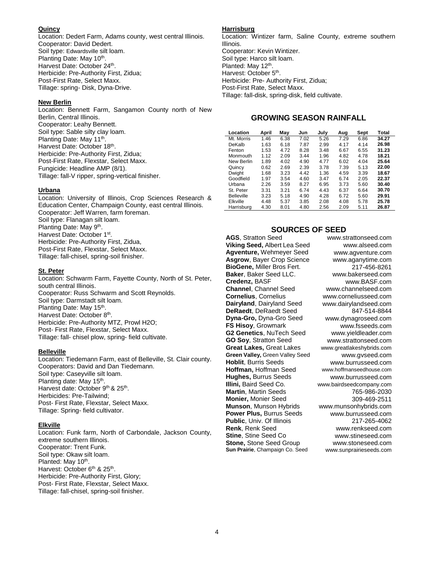#### **Quincy**

Location: Dedert Farm, Adams county, west central Illinois. Cooperator: David Dedert. Soil type: Edwardsville silt loam. Planting Date: May 10<sup>th</sup>. Harvest Date: October 24<sup>th</sup>. Herbicide: Pre-Authority First, Zidua; Post-First Rate, Select Maxx. Tillage: spring- Disk, Dyna-Drive.

#### **New Berlin**

Location: Bennett Farm, Sangamon County north of New Berlin, Central Illinois. Cooperator: Leahy Bennett. Soil type: Sable silty clay loam. Planting Date: May 11<sup>th</sup>. Harvest Date: October 18<sup>th</sup>. Herbicide: Pre-Authority First, Zidua; Post-First Rate, Flexstar, Select Maxx. Fungicide: Headline AMP (8/1). Tillage: fall-V ripper, spring-vertical finisher.

#### **Urbana**

Location: University of Illinois, Crop Sciences Research & Education Center, Champaign County, east central Illinois. Cooperator: Jeff Warren, farm foreman. Soil type: Flanagan silt loam. Planting Date: May 9<sup>th</sup>. Harvest Date: October 1st. Herbicide: Pre-Authority First, Zidua, Post-First Rate, Flexstar, Select Maxx. Tillage: fall-chisel, spring-soil finisher.

#### **St. Peter**

Location: Schwarm Farm, Fayette County, North of St. Peter, south central Illinois. Cooperator: Russ Schwarm and Scott Reynolds. Soil type: Darmstadt silt loam. Planting Date: May 15<sup>th</sup>. Harvest Date: October 8<sup>th</sup>. Herbicide: Pre-Authority MTZ, Prowl H2O; Post- First Rate, Flexstar, Select Maxx. Tillage: fall- chisel plow, spring- field cultivate.

#### **Belleville**

Location: Tiedemann Farm, east of Belleville, St. Clair county. Cooperators: David and Dan Tiedemann. Soil type: Caseyville silt loam. Planting date: May 15<sup>th</sup>. Harvest date: October 9<sup>th</sup> & 25<sup>th</sup>. Herbicides: Pre-Tailwind; Post- First Rate, Flexstar, Select Maxx. Tillage: Spring- field cultivator.

#### **Elkville**

Location: Funk farm, North of Carbondale, Jackson County, extreme southern Illinois. Cooperator: Trent Funk. Soil type: Okaw silt loam. Planted: May 10<sup>th</sup>. Harvest: October 6<sup>th</sup> & 25<sup>th</sup>. Herbicide: Pre-Authority First, Glory; Post- First Rate, Flexstar, Select Maxx. Tillage: fall-chisel, spring-soil finisher.

#### **Harrisburg**

Location: Wintizer farm, Saline County, extreme southern Illinois. Cooperator: Kevin Wintizer. Soil type: Harco silt loam. Planted: May 12<sup>th</sup>. Harvest: October 5<sup>th</sup>. Herbicide: Pre- Authority First, Zidua; Post-First Rate, Select Maxx. Tillage: fall-disk, spring-disk, field cultivate.

#### **GROWING SEASON RAINFALL**

| Location          | April | May  | Jun  | July | Aug  | Sept | Total |
|-------------------|-------|------|------|------|------|------|-------|
| Mt. Morris        | 1.46  | 6.38 | 7.02 | 5.26 | 7.29 | 6.86 | 34.27 |
| DeKalb            | 1.63  | 6.18 | 7.87 | 2.99 | 4.17 | 4.14 | 26.98 |
| Fenton            | 1.53  | 4.72 | 8.28 | 3.48 | 6.67 | 6.55 | 31.23 |
| Monmouth          | 1.12  | 2.09 | 3.44 | 1.96 | 4.82 | 4.78 | 18.21 |
| New Berlin        | 1.89  | 4.02 | 4.90 | 4.77 | 6.02 | 4.04 | 25.64 |
| Quincy            | 0.62  | 2.69 | 2.39 | 3.78 | 7.39 | 5.13 | 22.00 |
| Dwight            | 1.68  | 3.23 | 4.42 | 1.36 | 4.59 | 3.39 | 18.67 |
| Goodfield         | 1.97  | 3.54 | 4.60 | 3.47 | 6.74 | 2.05 | 22.37 |
| Urbana            | 2.26  | 3.59 | 8.27 | 6.95 | 3.73 | 5.60 | 30.40 |
| St. Peter         | 3.31  | 3.21 | 6.74 | 4.43 | 6.37 | 6.64 | 30.70 |
| <b>Belleville</b> | 3.23  | 5.18 | 4.90 | 4.28 | 6.72 | 5.60 | 29.91 |
| Elkville          | 4.48  | 5.37 | 3.85 | 2.08 | 4.08 | 5.78 | 25.78 |
| Harrisburg        | 4.30  | 8.01 | 4.80 | 2.56 | 2.09 | 5.11 | 26.87 |

## **SOURCES OF SEED**

**AGS**, Stratton Seed www.strattonseed.com **Viking Seed,** Albert Lea Seed www.alseed.com **Agventure,** Wehmeyer Seed [www.agventure.com](http://www.agventure.com/) **Asgrow**, Bayer Crop Science www.aganytime.com **BioGene,** Miller Bros Fert. 217-456-8261 **Baker**, Baker Seed LLC. [www.bakerseed.com](http://www.bakerseed.com/)<br> **Credenz**, BASF www.BASF.com **Channel**, Channel Seed www.channelseed.com<br> **Cornelius** Cornelius www.corneliusseed.com **Cornelius**, Cornelius [www.corneliusseed.com](http://www.corneliusseed.com/)<br> **Dairyland**, Dairyland Seed www.dairylandseed.com **Dairyland**, Dairyland Seed www.dairylandseed.com<br>**DeRaedt**, DeRaedt Seed 847-514-8844 **DeRaedt, DeRaedt Seed Dyna-Gro,** Dyna-Gro Seed [www.dynagroseed.com](http://www.dynagroseed.com/) **FS Hisoy**, Growmark [www.fsseeds.com](http://www.fsseeds.com/) **G2 Genetics**, NuTech Seed [www.yieldleader.com](http://www.yieldleader.com/) **GO Soy**, Stratton Seed www.strattonseed.com **Great Lakes,** Great Lakes [www.greatlakeshybrids.com](http://www.greatlakeshybrids.com/) **Green Valley,** Green Valley Seed [www.gvseed.com](http://www.gvseed.com/)<br> **Hoblit**, Burris Seeds www.burrusseed.com **Hoffman, Hoffman Seed Hughes, Burrus Seeds** [www.burrusseed.com](http://www.burrusseed.com/)<br>**Illini.** Baird Seed Co. www.bairdseedcompany.com **Martin**, Martin Seeds 765-986-2030 **Monier, Monier Seed 309-469-2511 Munson**, Munson Hybrids [www.munsonhybrids.com](http://www.munsonhybrids.com/) **Power Plus, Burrus Seeds [www.burrusseed.com](http://www.burrusseed.com/)<br>
<b>Public**, Univ. Of Illinois 217-265-4062 **Public**, Univ. Of Illinois<br>**Renk**, Renk Seed **Stine**, Stine Seed Co [www.stineseed.com](http://www.stineseed.com/) **Stone, Stone Seed Group [www.stoneseed.com](http://www.stoneseed.com/) Sun Prairie**, Champaign Co. Seed www.sunprairieseeds.com

www.BASF.com<br>www.channelseed.com [www.burrusseed.com](http://www.burrusseed.com/)<br>www.hoffmanseedhouse.com [www.bairdseedcompany.com](http://www.bairdseedcompany.com/) www.renkseed.com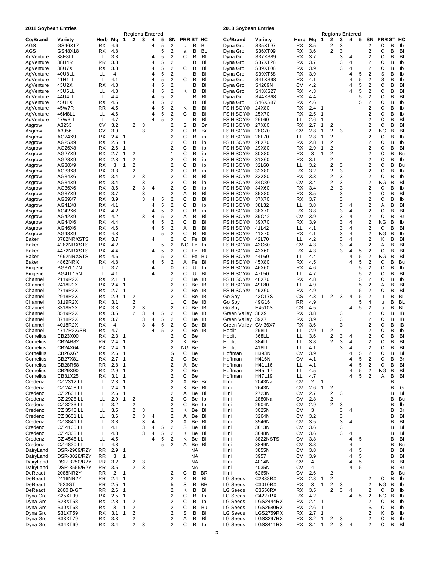**2018 Soybean Entries 2018 Soybean Entries**

|                        |                              |                        |                |                          |                         | Regions Entered |        |        |                         |         |                 |           |                               |                    |                 |                |                                |                                           | <b>Regions Entered</b> |        |        |                                                    |                |        |          |
|------------------------|------------------------------|------------------------|----------------|--------------------------|-------------------------|-----------------|--------|--------|-------------------------|---------|-----------------|-----------|-------------------------------|--------------------|-----------------|----------------|--------------------------------|-------------------------------------------|------------------------|--------|--------|----------------------------------------------------|----------------|--------|----------|
| Co/Brand               | Variety                      | Herb                   | Mg             | 1                        | $\mathbf{2}$            | 3               | 4      | 5      | SN                      |         |                 | PRR ST HC | Co/Brand                      | Variety            | Herb            | Mg             | $\mathbf 1$                    | 2                                         | 3                      | 4      | 5      | SΝ                                                 | PRR ST HC      |        |          |
| AGS                    | GS46X17                      | RX                     | 4.6            |                          |                         |                 | 4      | 5      | 2                       | u       | В               | BL        | Dyna Gro                      | S35XT97            | RX              | 3.5            |                                | 2                                         | 3                      |        |        | 2                                                  | С              | B      | Ib       |
| AGS                    | GS48X18                      | RX                     | 4.8            |                          |                         |                 |        | 5      | 2                       | a       | В               | BL        | Dyna Gro                      | S36XT09            | RX              | 3.6            |                                | 2                                         | 3                      | 4      |        | $\overline{\mathbf{c}}$                            | С<br>C         | В<br>B | BI       |
| AgVenture              | 38E8LL                       | LL<br><b>RR</b>        | 3.8<br>3.8     |                          |                         |                 | 4<br>4 | 5<br>5 | 2<br>2                  | С       | В<br>В          | BI<br>BI  | Dyna Gro                      | S37XS89            | RX<br>RX        | 3.7<br>3.7     |                                |                                           | 3<br>3                 | 4      |        | 2<br>2                                             | С              | B      | BI<br>Ib |
| AgVenture<br>AgVenture | 38H4R<br>38U7X               | RX                     | 3.8            |                          |                         |                 | 4      | 5      | $\overline{\mathbf{c}}$ | С       | В               | BI        | Dyna Gro<br>Dyna Gro          | S37XT28<br>S39XT08 | RX              | 3.9            |                                |                                           | 3                      | 4      |        | $\overline{\mathbf{c}}$                            | С              | B      | Ib       |
| AgVenture              | 40U8LL                       | LL                     | 4              |                          |                         |                 | 4      | 5      | 2                       |         | В               | BI        | Dyna Gro                      | S39XT68            | RX              | 3.9            |                                |                                           |                        | 4      | 5      | 2                                                  | S              | B      | Ib       |
| AgVenture              | 41H1LL                       | LL                     | 4.1            |                          |                         |                 | 4      | 5      | $\overline{2}$          | С       | B               | BI        | Dyna Gro                      | S41XS98            | RX              | 4.1            |                                |                                           |                        | 4      | 5      | $\overline{\mathbf{c}}$                            | S              | B      | Ib       |
| AgVenture              | 43U2X                        | RX                     | 4.3            |                          |                         |                 | 4      | 5      | $\overline{\mathbf{c}}$ |         | В               | BI        | Dyna Gro                      | S4209N             | C٧              | 4.2            |                                |                                           |                        | 4      | 5      | $\overline{\mathbf{c}}$                            | С              | B      | BI       |
| AgVenture              | 43U6LL                       | LL                     | 4.3            |                          |                         |                 | 4      | 5      | 2                       | κ       | В               | BI        | Dyna Gro                      | S43XS27            | RX              | 4.3            |                                |                                           |                        |        | 5      | $\overline{\mathbf{c}}$                            | C              | B      | BI       |
| AgVenture              | 44U4LL                       | LL                     | 4.4            |                          |                         |                 | 4      | 5      | $\overline{\mathbf{c}}$ |         | В               | BI        | Dyna Gro                      | S44XS68            | RX              | 4.4            |                                |                                           |                        |        | 5      | $\overline{\mathbf{c}}$                            | С              | B      | BI       |
| AgVenture              | 45U1X                        | RX                     | 4.5            |                          |                         |                 | 4      | 5      | $\overline{\mathbf{c}}$ |         | В               | BI        | Dyna Gro                      | S46XS87            | RX              | 4.6            |                                |                                           |                        |        | 5      | $\overline{\mathbf{c}}$                            | C              | B      | Ib       |
| AgVenture              | 45W7R                        | <b>RR</b>              | 4.5            |                          |                         |                 | 4      | 5      | $\overline{2}$          | κ       | в               | BI        | <b>FS HISOY®</b>              | 24X80              | RX              | 2.4            | 1                              |                                           |                        |        |        | $\overline{2}$                                     | С              | B      | Ib       |
| AgVenture              | 46M8LL                       | LL                     | 4.6            |                          |                         |                 | 4      | 5      | 2                       | С       | В               | BI        | <b>FS HISOY®</b>              | 25X70              | RX              | 2.5            | 1                              |                                           |                        |        |        | 2                                                  | С              | B      | Ib       |
| AgVenture              | 47W3LL                       | LL                     | 4.7            |                          |                         |                 | 4      | 5      | 2                       |         | В               | BI        | <b>FS HISOY®</b>              | 26L60              | LL              | 2.6            | 1                              |                                           |                        |        |        | $\overline{2}$                                     | C              | B      | BI       |
| Asgrow<br>Asgrow       | A3253<br>A3956               | СV<br>СV               | 3.2<br>3.9     |                          | 2                       | 3<br>3          |        |        | 2<br>2                  | S<br>С  | В<br>B          | Br<br>Br  | <b>FS HISOY®</b><br>FS HiSOY® | 27X80<br>28C70     | RX<br>C٧        | 2.7<br>2.8     | $\mathbf 1$<br>-1              | $\overline{c}$<br>$\overline{\mathbf{c}}$ | 3                      |        |        | $\overline{\mathbf{c}}$<br>$\overline{\mathbf{c}}$ | С<br><b>NG</b> | B<br>B | BI<br>BI |
| Asgrow                 | AG24X9                       | RX                     | 2.4            | $\overline{1}$           |                         |                 |        |        | 2                       | С       | В               | ib        | FS HiSOY®                     | 28L70              | LL              | 2.8            | 1                              | $\overline{2}$                            |                        |        |        | $\overline{\mathbf{c}}$                            | С              | B      | lb       |
| Asgrow                 | AG25X9                       | RX                     | 2.5            | $\overline{1}$           |                         |                 |        |        | 2                       | С       | В               | ib        | <b>FS HISOY®</b>              | 28X70              | RX              | 2.8            | 1                              | $\overline{\mathbf{c}}$                   |                        |        |        | $\overline{\mathbf{c}}$                            | С              | B      | Ib       |
| Asgrow                 | AG26X8                       | RX                     | 2.6            | $\overline{1}$           |                         |                 |        |        | 2                       | С       | В               | ib        | FS HiSOY®                     | 29X80              | RX              | 2.9            | 1                              | $\overline{\mathbf{c}}$                   |                        |        |        | $\overline{\mathbf{c}}$                            | C              | B      | BI       |
| Asgrow                 | AG27X9                       | RX                     | 2.7            | $\mathbf{1}$             | 2                       |                 |        |        | 1                       | С       | В               | ib        | FS HISOY®                     | 30X80              | RX              | 3              | 1                              | $\overline{2}$                            |                        |        |        | $\overline{\mathbf{c}}$                            | С              | B      | Bu       |
| Asgrow                 | AG28X9                       | RX                     | 2.8            | 1                        | $\overline{\mathbf{c}}$ |                 |        |        | 2                       | С       | В               | ib        | <b>FS HISOY®</b>              | 31X60              | RX              | 3.1            |                                | $\overline{2}$                            |                        |        |        | $\overline{\mathbf{c}}$                            | С              | B      | Ib       |
| Asgrow                 | AG30X9                       | RX                     | 3              | 1                        | 2                       |                 |        |        | 2                       | С       | В               | ib        | FS HiSOY®                     | 32L60              | LL              | 3.2            |                                | $\overline{\mathbf{c}}$                   | 3                      |        |        | $\overline{\mathbf{c}}$                            | C              | B      | Bu       |
| Asgrow                 | AG33X8                       | RX                     | 3.3            |                          | 2                       |                 |        |        | 2                       | С       | В               | ib        | FS HISOY®                     | 32X80              | RX              | 3.2            |                                | $\overline{\mathbf{c}}$                   | 3                      |        |        | $\overline{\mathbf{c}}$                            | С              | B      | Ib       |
| Asgrow                 | AG34X6                       | RX                     | 3.4            |                          | $\overline{2}$          | 3               |        |        | 2                       | С       | B               | BI        | <b>FS HISOY®</b>              | 33X80              | RX              | 3.3            |                                | $\overline{\mathbf{c}}$                   | 3                      |        |        | $\overline{c}$                                     | С              | В      | Ib       |
| Asgrow                 | AG34X9<br>AG36X6             | RX<br>RX               | 3.4<br>3.6     |                          | 2                       | 3<br>3          | 4      |        | 2<br>2                  | С<br>С  | В<br>В          | ib<br>ib  | FS HiSOY®<br>FS HiSOY®        | 34C80<br>34X60     | C٧<br>RX        | 3.4<br>3.4     |                                | 2<br>2                                    | 3<br>3                 |        |        | $\overline{\mathbf{c}}$<br>$\overline{2}$          | ΝG<br>С        | B<br>B | BI<br>lb |
| Asgrow<br>Asgrow       | AG37X9                       | RX                     | 3.7            |                          |                         | 3               |        |        | 2                       | Α       | В               | BI        | <b>FS HISOY®</b>              | 35X80              | RX              | 3.5            |                                |                                           | 3                      |        |        | $\overline{\mathbf{c}}$                            | C              | B      | BI       |
| Asgrow                 | AG39X7                       | RX                     | 3.9            |                          |                         | 3               | 4      | 5      | 2                       | С       | В               | BI        | <b>FS HISOY®</b>              | 37X70              | RX              | 3.7            |                                |                                           | 3                      |        |        | $\overline{\mathbf{c}}$                            | С              | B      | Ib       |
| Asgrow                 | AG41X8                       | RX                     | 4.1            |                          |                         |                 | 4      | 5      | $\overline{\mathbf{c}}$ | С       | B               | ib        | FS HISOY®                     | 38L32              | LL              | 3.8            |                                |                                           | 3                      | 4      |        | $\overline{2}$                                     | Α              | B      | BI       |
| Asgrow                 | AG42X6                       | RX                     | 4.2            |                          |                         |                 | 4      | 5      | $\overline{\mathbf{c}}$ | С       | В               | ib        | <b>FS HISOY®</b>              | 38X70              | RX              | 3.8            |                                |                                           | 3                      | 4      |        | $\overline{\mathbf{c}}$                            | С              | B      | BI       |
| Asgrow                 | AG42X9                       | RX                     | 4.2            |                          |                         | 3               | 4      | 5      | $\overline{2}$          | Α       | B               | BI        | FS HiSOY®                     | 39C42              | C٧              | 3.9            |                                |                                           | 3                      | 4      |        | $\overline{\mathbf{c}}$                            | С              | B      | Br       |
| Asgrow                 | AG44X6                       | RX                     | 4.4            |                          |                         |                 | 4      | 5      | 2                       | С       | В               | BI        | FS HiSOY®                     | 39X70              | RX              | 3.9            |                                |                                           | 3                      | 4      |        | $\overline{\mathbf{c}}$                            | <b>NG</b>      | B      | lb       |
| Asgrow                 | AG46X6                       | RX                     | 4.6            |                          |                         |                 | 4      | 5      | 2                       | Α       | В               | BI        | <b>FS HISOY®</b>              | 41L42              | LL              | 4.1            |                                |                                           | 3                      | 4      |        | $\overline{\mathbf{c}}$                            | С              | B      | BI       |
| Asgrow                 | AG48X9                       | RX                     | 4.8            |                          |                         |                 |        | 5      | $\overline{2}$          | С       | В               | BI        | FS HiSOY®                     | 41X70              | RX              | 4.1            |                                |                                           | 3                      | 4      |        | $\overline{2}$                                     | ΝG             | B      | Ib       |
| Baker                  | 3782NRXSTS                   | RX                     | 3.7            |                          |                         |                 | 4      |        | 2                       | С       | Fe              | BI        | <b>FS HISOY®</b>              | 42L70              | LL              | 4.2            |                                |                                           | 3                      | 4      |        | $\overline{\mathbf{c}}$                            | Κ              | B      | BI       |
| Baker<br>Baker         | 4282NRXSTS                   | RX<br>RX               | 4.2<br>4.4     |                          |                         |                 | 4      | 5<br>5 | 2<br>$\overline{2}$     | ΝG<br>С | Fe<br>Fe        | Ib<br>BI  | FS HISOY®<br>FS HiSOY®        | 43C60<br>43X60     | СV<br>RX        | 4.3<br>4.3     |                                |                                           | 3<br>3                 | 4<br>4 | 5      | 2<br>$\overline{\mathbf{c}}$                       | Α<br>С         | B<br>В | BI<br>BI |
| Baker                  | 4472NRXSTS<br>4692NRXSTS     | RX.                    | 4.6            |                          |                         |                 |        | 5      | 2                       | С       | Fe              | Bu        | <b>FS HISOY®</b>              | 44L60              | LL              | 4.4            |                                |                                           |                        | 4      | 5      | $\overline{\mathbf{c}}$                            | ΝG             | B      | BI       |
| Baker                  | 4862NRX                      | RX                     | 4.8            |                          |                         |                 | 4      | 5      | 2                       | Α       | Fe              | BI        | <b>FS HISOY®</b>              | 45X80              | RX              | 4.5            |                                |                                           |                        | Δ      | 5      | $\overline{2}$                                     | С              | B      | Bu       |
| Biogene                | <b>BG37L17N</b>              | LL                     | 3.7            |                          |                         |                 | 4      |        | 0                       | С       | U               | Ib        | <b>FS HISOY®</b>              | 46X60              | RX              | 4.6            |                                |                                           |                        |        | 5      | $\overline{\mathbf{c}}$                            | C              | В      | Ib       |
| Biogene                | <b>BG41L15N</b>              | LL                     | 4.1            |                          |                         |                 | 4      |        | 2                       | С       | U               | BI        | <b>FS HISOY®</b>              | 47L50              | LL              | 4.7            |                                |                                           |                        |        | 5      | $\overline{\mathbf{c}}$                            | C              | B      | BI       |
| Channel                | 2119R2X                      | RX                     | 2.1            | -1                       |                         |                 |        |        | 2                       | С       | Be              | IB        | FS HISOY <sup>®</sup>         | 48X70              | RX              | 4.8            |                                |                                           |                        |        | 5      | $\overline{2}$                                     | С              | B      | Ib       |
| Channel                | 2418R2X                      | RX                     | 2.4            | -1                       |                         |                 |        |        | 2                       | С       | Be              | IB        | <b>FS HISOY®</b>              | 49L80              | LL              | 4.9            |                                |                                           |                        |        | 5      | $\overline{2}$                                     | А              | В      | BI       |
| Channel                | 2719R2X                      | RX                     | 2.7            | -1                       |                         |                 |        |        | 2                       | С       | Be              | IB        | FS HiSOY <sup>®</sup>         | 49X60              | RX              | 4.9            |                                |                                           |                        |        | 5      | 2                                                  | С              | B      | BI       |
| Channel<br>Channel     | 2918R2X<br>3119R2X           | RX<br>RX               | 2.9<br>3.1     | 1                        | 2<br>2                  |                 |        |        | 2<br>1                  | С<br>С  | Be<br>Be        | IB<br>IB  | Go Soy<br>Go Soy              | 43C17S<br>49G16    | СS<br><b>RR</b> | 4.3<br>4.9     | $\mathbf 1$                    | 2                                         | 3                      | 4      | 5<br>5 | 2<br>4                                             | u<br>u         | B<br>B | BL<br>BL |
| Channel                | 3318R2X                      | RX                     | 3.3            |                          | 2                       | 3               |        |        | 2                       | С       | Be              | IB        | Go Soy                        | E4510S             | СS              | 4.5            |                                |                                           |                        | 4      | 5      | $\overline{\mathbf{c}}$                            | u              | B      | BL       |
| Channel                | 3519R2X                      | RX                     | 3.5            |                          | 2                       | 3               | 4      | 5      | 2                       | С       | Be              | IB        | Green Valley                  | 38X9               | RX              | 3.8            |                                |                                           | 3                      |        |        | $\overline{\mathbf{c}}$                            | С              | B      | IB       |
| Channel                | 3718R2X                      | RX                     | 3.7            |                          |                         | 3               | 4      | 5      | $\overline{\mathbf{c}}$ | С       | Be              | IB        | Green Valley                  | 39X7               | RX              | 3.9            |                                |                                           | 3                      |        |        | $\boldsymbol{2}$                                   | C              | B      | IB       |
| Channel                | 4018R2X                      | RX                     | 4              |                          |                         | 3               | 4      | 5      | 2                       | С       | Be              | BI        | Green Valley GV 36X7          |                    | RX              | 3.6            |                                |                                           | 3                      |        |        | $\overline{\mathbf{c}}$                            | С              | B      | IB       |
| Channel                | 4717R2X/SR                   | RX                     | 4.7            |                          |                         |                 | 4      | 5      | 2                       | С       | Be              | IB        | Hoblit                        | 298LL              | LL              | 2.9            | $\mathbf 1$                    | 2                                         |                        |        |        | $\overline{\mathbf{c}}$                            | С              | B      | Ib       |
| Cornelius              | CB23X00                      | RX                     | 2.3            | -1                       |                         |                 |        |        | 2                       | С       | Be              |           | Hoblit                        | 368LL              | LL              | 3.6            |                                | $\overline{\mathbf{c}}$                   | 3                      | 4      |        | $\overline{\mathbf{c}}$                            | C              | B      | BI       |
| Cornelius              | CB24R82                      | RR.                    | 2.4            | $\overline{1}$<br>-1     |                         |                 |        |        | 2                       | κ       | Be<br>Be        |           | Hoblit                        | 384LL              | LL<br>LL        | 3.8<br>4.1     |                                | $\overline{2}$                            | 3<br>3                 | 4<br>4 |        | $\overline{2}$<br>2                                | C<br>С         | B<br>B | BI<br>BI |
| Cornelius<br>Cornelius | CB24X64<br>CB26X67           | RX<br>RX               | 2.4<br>$2.6\,$ | $\overline{1}$           |                         |                 |        |        | S                       | ΝG<br>С | Be              |           | Hoblit<br>Hoffman             | 418LL<br>H393N     | CV              | 3.9            |                                |                                           |                        | 4      | 5      | $\overline{2}$                                     | С              | В      | BI       |
| Cornelius              | CB27X81                      | RX                     | 2.7            | $\overline{1}$           |                         |                 |        |        | $\boldsymbol{2}$        | С       | Be              |           | Hoffman                       | <b>H416N</b>       | CV              | 4.1            |                                |                                           |                        | 4      | 5      | $\boldsymbol{2}$                                   | С              | B      | Br       |
| Cornelius              | CB28R58                      | <b>RR</b>              | 2.8            | $\overline{1}$           |                         |                 |        |        | 2                       | Α       | Be              |           | Hoffman                       | H41L16             | LL              | 4.1            |                                |                                           |                        | 4      | 5      | $\boldsymbol{2}$                                   | С              | B      | BI       |
| Cornelius              | CB29X90                      | RX                     | 2.9            | $\overline{1}$           |                         |                 |        |        | 2                       | С       | Be              |           | Hoffman                       | H45L17             | LL              | 4.5            |                                |                                           |                        | 4      | 5      | 2                                                  | ΝG             | B      | BI       |
| Cornelius              | CB31X25                      | RX                     | 3.1            | $\overline{1}$           |                         |                 |        |        | $\overline{\mathbf{c}}$ | С       | Be              |           | Hoffman                       | H47L19             | LL              | 4.7            |                                |                                           |                        | 4      | 5      | $\overline{2}$                                     | Α              | В      | BI       |
| Credenz                | CZ 2312 LL                   | LL.                    | 2.3            | $\overline{1}$           |                         |                 |        |        | 2                       | Α       |                 | Be Br     | Illini                        | 2043Na             | CV              | $\overline{2}$ | $\mathbf{1}$                   |                                           |                        |        |        |                                                    |                | B      |          |
| Credenz                | CZ 2408 LL                   | LL                     | 2.4            | $\overline{1}$           |                         |                 |        |        | 2                       | Κ       | Be              | BI        | Illini                        | 2643N              | CV              | 2.6            | $\mathbf{1}$                   | 2                                         |                        |        |        |                                                    |                | B      | G        |
| Credenz                | CZ 2601 LL                   | LL.                    | 2.6            | $\overline{1}$           |                         |                 |        |        | 2                       | Α       | Be              | BI        | Illini                        | 2723N              | CV              | 2.7            |                                | $\overline{\mathbf{c}}$                   | 3                      |        |        |                                                    |                | В      | BI       |
| Credenz                | CZ 2928 LL<br>CZ 3233 LL     | LL<br>LL               | 2.9<br>3.2     | $\overline{1}$           | $\overline{c}$          |                 |        |        | 2<br>2                  | С<br>С  | Be<br>Be        | lb<br>lb  | Illini                        | 2880Na<br>2904N    | CV<br>СV        | 2.8<br>2.9     |                                | $\overline{\mathbf{c}}$<br>2              | 3                      |        |        |                                                    |                | B<br>B | Bu       |
| Credenz<br>Credenz     | CZ 3548 LL                   | ᄔ                      | 3.5            |                          | 2<br>2                  | 3               |        |        | 2                       | Κ       | Be              | BI        | Illini<br>Illini              | 3025N              | C٧              | 3              |                                |                                           | 3                      | 4      |        |                                                    |                | B      | lb<br>Br |
| Credenz                | CZ 3601 LL                   | LL                     | 3.6            |                          | 2                       | 3               | 4      |        | 2                       | Α       | Be              | BI        | Illini                        | 3264N              | CV              | 3.2            |                                |                                           | 3                      |        |        |                                                    |                | B      | BI       |
| Credenz                | CZ 3841 LL                   | ᄔ                      | 3.8            |                          |                         | 3               | 4      |        | 2                       | Α       | Be              | BI        | Illini                        | 3546N              | СV              | 3.5            |                                |                                           | 3                      | 4      |        |                                                    |                | B      | BI       |
| Credenz                | CZ 4105 LL                   | ᄔ                      | 4.1            |                          |                         | 3               | 4      | 5      | $\boldsymbol{2}$        | S       | Be              | BI        | Illini                        | 3613N              | CV              | 3.6            |                                |                                           | 3                      |        |        |                                                    |                | B      | BI       |
| Credenz                | CZ 4308 LL                   | LL                     | 4.3            |                          |                         | 3               | 4      | 5      | 2                       | Κ       | Be              | BI        | Illini                        | 3648N              | CV              | 3.6            |                                |                                           | 3                      | 4      |        |                                                    |                | B      | BI       |
| Credenz                | CZ 4548 LL                   | LL.                    | 4.5            |                          |                         |                 | 4      | 5      | 2                       | κ       | Be              | BI        | Illini                        | 3822NSTS           | СV              | 3.8            |                                |                                           |                        | 4      | 5      |                                                    |                | В      | BI       |
| Credenz                | CZ 4820 LL                   | LL                     | 4.8            |                          |                         |                 |        | 5      | $\overline{2}$          | Α       | Be              | BI        | Illini                        | 3849N              | CV              | 3.8            |                                |                                           |                        | 4      |        |                                                    |                | B      | Bu       |
| DairyLand              | DSR-2909/R2Y                 | <b>RR</b>              | 2.9            | $\mathbf 1$              |                         |                 |        |        |                         |         | <b>NA</b>       |           | Illini                        | 3855N              | CV              | 3.8            |                                |                                           |                        | 4      | 5      |                                                    |                | В      | BI       |
| DairyLand              | DSR-3028/R2Y                 | <b>RR</b>              | 3              | $\mathbf{1}$             |                         |                 |        |        |                         |         | NA              |           | Illini                        | 3957               | СV              | 3.9            |                                |                                           |                        | 4      | 5      |                                                    |                | В      | BI       |
| DairyLand<br>DairyLand | DSR-3250/R2Y<br>DSR-3555/R2Y | <b>RR</b><br><b>RR</b> | 3.2<br>3.5     |                          | 2<br>2                  | 3<br>3          |        |        |                         |         | NA<br><b>NA</b> |           | Illini<br>Illini              | 4014N<br>4035N     | CV<br>CV        | 4<br>4         |                                |                                           |                        | 4<br>4 | 5<br>5 |                                                    |                | В<br>В | BI<br>Br |
| DeReadt                | 2088NR2Y                     | <b>RR</b>              | $\overline{2}$ | $\overline{1}$           |                         |                 |        |        | 2                       | С       | В               | <b>BR</b> | Illini                        | 6265N              | CV              | 2.6            |                                | 2                                         |                        |        |        |                                                    |                | B      | Bu       |
| DeReadt                | 2416NR2Y                     | <b>RR</b>              | 2.4            | $\overline{1}$           |                         |                 |        |        | 2                       | Κ       | В               | BI        | LG Seeds                      | C2888RX            | RX              | 2.8            | 1                              | 2                                         |                        |        |        | 2                                                  | С              | В      | lb       |
| DeReadt                | 2523GT                       | <b>RR</b>              | 2.5            | $\overline{\phantom{0}}$ |                         |                 |        |        | 5                       | S       | В               | <b>BR</b> | LG Seeds                      | C3010RX            | RX              | 3              | $\mathbf{1}$                   | $\overline{\mathbf{c}}$                   | 3                      |        |        | $\mathbf 2$                                        | <b>NG</b>      | B      | Ib       |
| DeReadt                | 2600 B-GT                    | <b>RR</b>              | 2.6            | $\overline{1}$           |                         |                 |        |        | 2                       | Κ       | В               | BI        | LG Seeds                      | C3550RX            | RX              | 3.5            |                                | $\boldsymbol{2}$                          | 3                      | 4      |        | 2                                                  | С              | B      | Ib       |
| Dyna Gro               | S25XT99                      | RX                     | 2.5            | $\overline{1}$           |                         |                 |        |        | 2                       | С       | B               | lb        | <b>LG Seeds</b>               | C4227RX            | RX              | 4.2            |                                |                                           |                        | 4      | 5      | $\overline{\mathbf{c}}$                            | ΝG             | B      | lb       |
| Dyna Gro               | S28XT58                      | RX                     | 2.8            | $\overline{1}$           | 2                       |                 |        |        | 2                       | С       | В               | Ib        | LG Seeds                      | LGS2444RX          | RX              | 2.4            | $\overline{1}$                 |                                           |                        |        |        | $\overline{\mathbf{c}}$                            | С              | В      | Ib       |
| Dyna Gro               | S30XT68                      | RX                     | 3              | $\mathbf{1}$             | 2                       |                 |        |        | 2                       | С       | В               | Bu        | LG Seeds                      | <b>LGS2680RX</b>   | RX              | 2.6            | $\overline{1}$                 |                                           |                        |        |        | S                                                  | С              | B      | lb       |
| Dyna Gro               | S31XT59                      | RX                     | 3.1            | $\overline{1}$           | $\overline{\mathbf{c}}$ |                 |        |        | 2                       | S       | B               | BI        | LG Seeds                      | LGS2759RX          | RX              | 2.7            | $\overline{1}$                 |                                           |                        |        |        | 2                                                  | Κ              | В      | lb       |
| Dyna Gro               | S33XT79                      | RX                     | 3.3<br>3.4     |                          | 2<br>2                  | 3               |        |        | 2<br>2                  | Α<br>С  | В<br>в          | BI<br>Ib  | LG Seeds<br>LG Seeds          | LGS3297RX          | RX              | 3.2            | $\mathbf{1}$<br>$\overline{1}$ | 2<br>$\overline{\mathbf{c}}$              | 3<br>3                 | 4      |        | $\boldsymbol{2}$<br>2                              | С<br>С         | B<br>В | Ib<br>BI |
| Dyna Gro               | S34XT69                      | RX                     |                |                          |                         |                 |        |        |                         |         |                 |           |                               | LGS3411RX          | RX              | 3.4            |                                |                                           |                        |        |        |                                                    |                |        |          |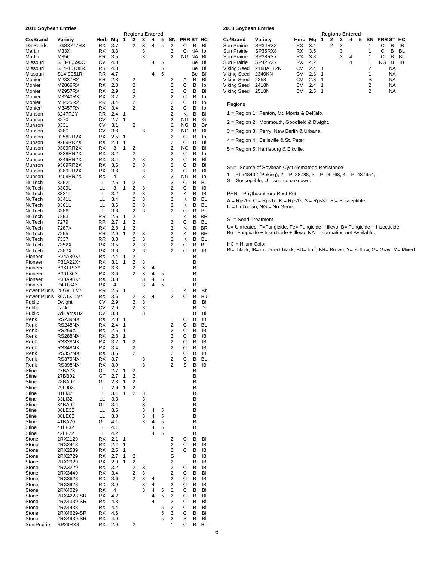| 2018 Soybean Entries              |                           |                  |                                      |                                  |                                                    |        |        |        |                                                    |              |             |                        | 2018 Soybean Entries       |                                                                                |          |                  |                         |   |   |                             |   |        |                  |        |                 |
|-----------------------------------|---------------------------|------------------|--------------------------------------|----------------------------------|----------------------------------------------------|--------|--------|--------|----------------------------------------------------|--------------|-------------|------------------------|----------------------------|--------------------------------------------------------------------------------|----------|------------------|-------------------------|---|---|-----------------------------|---|--------|------------------|--------|-----------------|
| Co/Brand                          | Variety                   | Herb Mg          |                                      | 1                                | <b>Regions Entered</b><br>$\mathbf{2}$             | 3      | 4      | 5      |                                                    | SN PRR ST HC |             |                        | Co/Brand                   | Variety                                                                        |          | Herb Mg          | $\mathbf 1$             | 2 | 3 | <b>Regions Entered</b><br>4 | 5 | SN     | <b>PRR ST HC</b> |        |                 |
| <b>LG Seeds</b>                   | LGS3777RX                 | RX               | 3.7                                  |                                  | 2                                                  | 3      | 4      | 5      | $\overline{2}$                                     | С            | в           | BI                     | Sun Prairie                | SP34RX8                                                                        | RX       | 3.4              |                         | 2 | 3 |                             |   | 1      | С                | в      | IB              |
| Martin                            | M33X                      | RX               | 3.3                                  |                                  |                                                    | 3      |        |        | 2                                                  | С            | NA          | lb                     | Sun Prairie                | SP35RX8                                                                        | RX       | 3.5              |                         |   | 3 |                             |   | 1      | С                | В      | BL              |
| Martin<br>Missouri                | M35C<br>S13-10590C        | <b>RR</b><br>СV  | 3.5<br>4.3                           |                                  |                                                    | 3      | 4      | 5      | 2                                                  |              | NG NA<br>Be | BI<br>BI               | Sun Prairie<br>Sun Prairie | SP38RX7<br>SP42RX7                                                             | RX<br>RX | 3.8<br>4.2       |                         |   | 3 | 4<br>4                      |   | 1<br>1 | С<br>ΝG          | в<br>В | <b>BL</b><br>IB |
| Missouri                          | S14-15138R                | RS               | 4.8                                  |                                  |                                                    |        |        | 5      |                                                    |              | Be          | BI                     | Viking Seed                | 2188AT12N                                                                      | CV       | 2.4 <sub>1</sub> |                         |   |   |                             |   | 2      |                  | ΝA     |                 |
| Missouri                          | S14-9051R                 | <b>RR</b>        | 4.7                                  |                                  |                                                    |        | 4      | 5      |                                                    |              | Be          | Bf                     | <b>Viking Seed</b>         | 2340KN                                                                         | СV       | 2.3              | $\overline{\mathbf{1}}$ |   |   |                             |   | 1      |                  | NA     |                 |
| Monier                            | M2837R2                   | RR.              | 2.8                                  |                                  | 2                                                  |        |        |        | 2                                                  | Α            | B           | BI                     | Viking Seed                | 2358                                                                           | СV       | 2.3 <sub>1</sub> |                         |   |   |                             |   | S      |                  | NA     |                 |
| Monier                            | M2866RX                   | RX               | 2.8                                  |                                  | 2                                                  |        |        |        | 2<br>$\overline{\mathbf{c}}$                       | С<br>С       | B<br>B      | Ib<br>BI               | Viking Seed                | 2418N                                                                          | CV       | 2.4 <sub>1</sub> |                         |   |   |                             |   | 2<br>2 |                  | NA     |                 |
| Monier<br>Monier                  | M2957RX<br>M3240RX        | RX.<br>RX        | 2.9<br>3.2                           |                                  | 2<br>2                                             |        |        |        | $\overline{\mathbf{c}}$                            | С            | B           | lb                     | Viking Seed                | 2518N                                                                          | СV       | 2.5 <sub>1</sub> |                         |   |   |                             |   |        |                  | ΝA     |                 |
| Monier                            | M3425R2                   | RR               | 3.4                                  |                                  | 2                                                  |        |        |        | $\overline{\mathbf{c}}$                            | С            | В           | lb                     | Regions                    |                                                                                |          |                  |                         |   |   |                             |   |        |                  |        |                 |
| Monier                            | M3457RX                   | RX.              | 3.4                                  |                                  | 2                                                  |        |        |        | $\overline{\mathbf{c}}$                            | С            | B           | lb                     |                            |                                                                                |          |                  |                         |   |   |                             |   |        |                  |        |                 |
| Munson<br>Munson                  | 8247R2Y<br>8270           | RR<br>СV         | 2.4 <sub>1</sub><br>2.7 <sub>1</sub> |                                  |                                                    |        |        |        | $\overline{\mathbf{c}}$<br>$\overline{\mathbf{c}}$ | κ<br>ΝG      | B<br>B      | BI<br>G                |                            | 1 = Region 1: Fenton, Mt. Morris & DeKalb.                                     |          |                  |                         |   |   |                             |   |        |                  |        |                 |
| Munson                            | 8331                      | СV               | 3.1                                  |                                  | 2                                                  |        |        |        | $\overline{\mathbf{c}}$                            | ΝG           | В           | Br                     |                            | 2 = Region 2: Monmouth, Goodfield & Dwight.                                    |          |                  |                         |   |   |                             |   |        |                  |        |                 |
| Munson                            | 8380                      | СV               | 3.8                                  |                                  |                                                    | 3      |        |        | $\overline{\mathbf{c}}$                            | ΝG           | в           | BI                     |                            | 3 = Region 3: Perry, New Berlin & Urbana.                                      |          |                  |                         |   |   |                             |   |        |                  |        |                 |
| Munson<br>Munson                  | 9258RR2X<br>9289RR2X      | RX<br>RX.        | 2.5<br>2.8                           | $\overline{1}$<br>$\overline{1}$ |                                                    |        |        |        | $\overline{\mathbf{c}}$<br>$\overline{\mathbf{c}}$ | С<br>C       | В<br>B      | lb<br>BI               |                            | 4 = Region 4: Belleville & St. Peter.                                          |          |                  |                         |   |   |                             |   |        |                  |        |                 |
| Munson                            | 9309RR2X                  | RX               | 3                                    | $\mathbf{1}$                     | 2                                                  |        |        |        | $\overline{\mathbf{c}}$                            | ΝG           | в           | BI                     |                            | 5 = Region 5: Harrisburg & Elkville.                                           |          |                  |                         |   |   |                             |   |        |                  |        |                 |
| Munson                            | 9328RR2X                  | RX               | 3.2                                  |                                  | $\overline{\mathbf{c}}$                            |        |        |        | $\overline{\mathbf{c}}$                            | С            | В           | lb                     |                            |                                                                                |          |                  |                         |   |   |                             |   |        |                  |        |                 |
| Munson                            | 9349RR2X                  | RX               | 3.4                                  |                                  | 2                                                  | 3      |        |        | $\overline{\mathbf{c}}$                            | C            | B           | BI                     |                            |                                                                                |          |                  |                         |   |   |                             |   |        |                  |        |                 |
| Munson<br>Munson                  | 9369RR2X<br>9389RR2X      | RX<br>RX         | 3.6<br>3.8                           |                                  | 2                                                  | 3<br>3 |        |        | $\overline{\mathbf{c}}$<br>2                       | С<br>С       | В<br>В      | BI<br>BI               |                            | SN= Source of Soybean Cyst Nematode Resistance                                 |          |                  |                         |   |   |                             |   |        |                  |        |                 |
| Munson                            | 9408RR2X                  | RX               | 4                                    |                                  |                                                    | 3      |        |        | $\boldsymbol{2}$                                   | ΝG           | В           | lb                     |                            | 1 = PI 548402 (Peking), 2 = PI 88788, 3 = PI 90763, 4 = PI 437654,             |          |                  |                         |   |   |                             |   |        |                  |        |                 |
| NuTech                            | 3252L                     | LL.              | 2.5                                  | $\overline{1}$                   | 2                                                  |        |        |        | $\overline{\mathbf{c}}$                            | С            | B           | <b>BL</b>              |                            | $S =$ Susceptible, $U =$ source unknown.                                       |          |                  |                         |   |   |                             |   |        |                  |        |                 |
| NuTech                            | 3309L                     | LL.<br>LL        | 3<br>3.2                             | $\mathbf{1}$                     | 2<br>$\overline{\mathbf{c}}$                       | 3<br>3 |        |        | $\overline{\mathbf{c}}$<br>$\boldsymbol{2}$        | С<br>Κ       | B<br>В      | IB<br>IB               |                            | PRR = Phythophthora Root Rot                                                   |          |                  |                         |   |   |                             |   |        |                  |        |                 |
| NuTech<br>NuTech                  | 3321L<br>3341L            | LL.              | 3.4                                  |                                  | 2                                                  | 3      |        |        | 2                                                  | κ            | В           | BL                     |                            | $A = Rps1a$ , $C = Rps1c$ , $K = Rps1k$ , $3 = Rps3a$ , $S = Suseepible$ ,     |          |                  |                         |   |   |                             |   |        |                  |        |                 |
| NuTech                            | 3361L                     | LL               | 3.6                                  |                                  | 2                                                  | 3      |        |        | $\overline{\mathbf{c}}$                            | κ            | В           | BL                     |                            | $U =$ Unknown, NG = No Gene.                                                   |          |                  |                         |   |   |                             |   |        |                  |        |                 |
| NuTech                            | 3386L                     | LL               | 3.8                                  |                                  | $\overline{\mathbf{c}}$                            | 3      |        |        | $\overline{\mathbf{c}}$                            | С            | В           | <b>BL</b>              |                            |                                                                                |          |                  |                         |   |   |                             |   |        |                  |        |                 |
| NuTech<br>NuTech                  | 7253<br>7279              | <b>RR</b><br>RR. | 2.5<br>2.7                           | $\overline{1}$<br>$\mathbf{1}$   | 2<br>$\overline{c}$                                |        |        |        | $\mathbf{1}$<br>$\overline{\mathbf{c}}$            | Κ<br>С       | В<br>В      | <b>BR</b><br><b>BL</b> | ST= Seed Treatment         |                                                                                |          |                  |                         |   |   |                             |   |        |                  |        |                 |
| NuTech                            | 7287X                     | RX.              | 2.8                                  | $\mathbf{1}$                     | 2                                                  |        |        |        | $\overline{\mathbf{c}}$                            | Κ            | B           | <b>BR</b>              |                            | U= Untreated, F=Fungicide, Fe= Fungicide + Illevo, B= Fungicide + Insecticide, |          |                  |                         |   |   |                             |   |        |                  |        |                 |
| NuTech                            | 7295                      | <b>RR</b>        | 2.9                                  | $\mathbf{1}$                     | $\overline{2}$                                     | 3      |        |        | $\overline{\mathbf{c}}$                            | Κ            | B           | <b>BR</b>              |                            | Be= Fungicide + Insecticide + Illevo, NA= Information not Available.           |          |                  |                         |   |   |                             |   |        |                  |        |                 |
| NuTech                            | 7337                      | <b>RR</b>        | 3.3                                  |                                  | $\overline{\mathbf{c}}$                            | 3      |        |        | $\overline{\mathbf{c}}$                            | κ            | В           | <b>BL</b>              | $HC = Hilum Color$         |                                                                                |          |                  |                         |   |   |                             |   |        |                  |        |                 |
| NuTech<br>NuTech                  | 7352X<br>7387X            | RX<br>RX         | 3.5<br>3.8                           |                                  | 2<br>$\overline{\mathbf{c}}$                       | 3<br>3 |        |        | $\overline{\mathbf{c}}$<br>$\overline{2}$          | С<br>C       | В<br>B      | BF<br>IB               |                            | Bl= black, IB= imperfect black, BU= buff, BR= Brown, Y= Yellow, G= Gray, M= M  |          |                  |                         |   |   |                             |   |        |                  |        |                 |
| Pioneer                           | P24A80X*                  | RX.              | 2.4                                  | $\mathbf 1$                      | 2                                                  |        |        |        |                                                    |              | В           |                        |                            |                                                                                |          |                  |                         |   |   |                             |   |        |                  |        |                 |
| Pioneer                           | P31A22X*                  | RX               | 3.1                                  | $\mathbf{1}$                     | 2                                                  | 3      |        |        |                                                    |              | B           |                        |                            |                                                                                |          |                  |                         |   |   |                             |   |        |                  |        |                 |
| Pioneer                           | P33T19X*                  | RX               | 3.3<br>3.6                           |                                  | $\overline{\mathbf{c}}$<br>2                       | 3<br>3 | 4<br>4 | 5      |                                                    |              | В<br>В      |                        |                            |                                                                                |          |                  |                         |   |   |                             |   |        |                  |        |                 |
| Pioneer<br>Pioneer                | P36T36X<br>P38A98X*       | RX<br>RX.        | 3.8                                  |                                  |                                                    | 3      | 4      | 5      |                                                    |              | В           |                        |                            |                                                                                |          |                  |                         |   |   |                             |   |        |                  |        |                 |
| Pioneer                           | P40T84X                   | RX               | 4                                    |                                  |                                                    | 3      | 4      | 5      |                                                    |              | В           |                        |                            |                                                                                |          |                  |                         |   |   |                             |   |        |                  |        |                 |
| Power Plus <sup>®</sup>           | 25G8 TM*                  | <b>RR</b>        | 2.5                                  | -1                               |                                                    |        |        |        | 1                                                  | κ            | В           | Br                     |                            |                                                                                |          |                  |                         |   |   |                             |   |        |                  |        |                 |
| Power Plus <sup>®</sup><br>Public | 36A1X TM*<br>Dwight       | RX<br>СV         | 3.6<br>2.9                           |                                  | 2<br>$\overline{\mathbf{c}}$                       | 3<br>3 | 4      |        | $\overline{2}$                                     | С            | В<br>в      | Bu<br>BI               |                            |                                                                                |          |                  |                         |   |   |                             |   |        |                  |        |                 |
| Public                            | Jack                      | СV               | 2.9                                  |                                  | 2                                                  | 3      |        |        |                                                    |              | B           | Υ                      |                            |                                                                                |          |                  |                         |   |   |                             |   |        |                  |        |                 |
| Public                            | Williams 82               | СV               | 3.8                                  |                                  |                                                    | 3      |        |        |                                                    |              | В           | BI                     |                            |                                                                                |          |                  |                         |   |   |                             |   |        |                  |        |                 |
| Renk<br>Renk                      | RS239NX<br>RS248NX        | RX.<br>RX.       | 2.3<br>2.4                           | $\overline{1}$<br>$\overline{1}$ |                                                    |        |        |        | 1<br>2                                             | С<br>С       | В<br>B      | IB<br>BL               |                            |                                                                                |          |                  |                         |   |   |                             |   |        |                  |        |                 |
| Renk                              | <b>RS269X</b>             | RX               | 2.6                                  | $\overline{\phantom{0}}$         |                                                    |        |        |        | $\overline{\mathbf{c}}$                            | С            | B           | IB                     |                            |                                                                                |          |                  |                         |   |   |                             |   |        |                  |        |                 |
| Renk                              | <b>RS288NX</b>            | RX.              | 2.8                                  | $\overline{1}$                   |                                                    |        |        |        | $\overline{2}$                                     | С            | B           | IB                     |                            |                                                                                |          |                  |                         |   |   |                             |   |        |                  |        |                 |
| Renk                              | <b>RS328NX</b>            | RX               | $3.2 \quad 1$                        |                                  | 2                                                  |        |        |        | 2                                                  | C            | B           | IB                     |                            |                                                                                |          |                  |                         |   |   |                             |   |        |                  |        |                 |
| Renk<br>Renk                      | <b>RS348NX</b><br>RS357NX | RX<br>RX         | 3.4<br>3.5                           |                                  | $\overline{\mathbf{c}}$<br>$\overline{\mathbf{c}}$ |        |        |        | $\overline{\mathbf{c}}$<br>$\overline{\mathbf{c}}$ | С<br>C       | В<br>B      | IB<br>IB               |                            |                                                                                |          |                  |                         |   |   |                             |   |        |                  |        |                 |
| Renk                              | RS379NX                   | RX               | 3.7                                  |                                  |                                                    | 3      |        |        | $\mathbf 2$                                        | С            | В           | BL                     |                            |                                                                                |          |                  |                         |   |   |                             |   |        |                  |        |                 |
| Renk                              | <b>RS398NX</b>            | RX               | 3.9                                  |                                  |                                                    | 3      |        |        | $\overline{2}$                                     | S            | B           | IB                     |                            |                                                                                |          |                  |                         |   |   |                             |   |        |                  |        |                 |
| Stine<br>Stine                    | 27BA23<br>27BB02          | GT<br>GT         | 2.7<br>2.7                           | $\overline{1}$<br>$\mathbf{1}$   | 2<br>$\mathbf 2$                                   |        |        |        |                                                    |              | в<br>В      |                        |                            |                                                                                |          |                  |                         |   |   |                             |   |        |                  |        |                 |
| Stine                             | 28BA02                    | GT               | 2.8                                  | $\mathbf{1}$                     | $\overline{\mathbf{c}}$                            |        |        |        |                                                    |              | в           |                        |                            |                                                                                |          |                  |                         |   |   |                             |   |        |                  |        |                 |
| Stine                             | 29LJ02                    | ᄔ                | 2.9                                  | $\overline{1}$                   | $\boldsymbol{2}$                                   |        |        |        |                                                    |              | В           |                        |                            |                                                                                |          |                  |                         |   |   |                             |   |        |                  |        |                 |
| Stine                             | 31LI32                    | LL.              | 3.1                                  | $\mathbf{1}$                     | 2                                                  | 3      |        |        |                                                    |              | В           |                        |                            |                                                                                |          |                  |                         |   |   |                             |   |        |                  |        |                 |
| Stine<br>Stine                    | 33LI32<br>34BA02          | LL.<br>GT        | 3.3<br>3.4                           |                                  |                                                    | 3<br>3 |        |        |                                                    |              | В<br>В      |                        |                            |                                                                                |          |                  |                         |   |   |                             |   |        |                  |        |                 |
| Stine                             | 36LE32                    | LL.              | 3.6                                  |                                  |                                                    | 3      | 4      | 5      |                                                    |              | B           |                        |                            |                                                                                |          |                  |                         |   |   |                             |   |        |                  |        |                 |
| Stine                             | 38LE02                    | LL.              | 3.8                                  |                                  |                                                    | 3      | 4      | 5      |                                                    |              | В           |                        |                            |                                                                                |          |                  |                         |   |   |                             |   |        |                  |        |                 |
| Stine<br>Stine                    | 41BA20<br>41LF32          | GT<br>LL.        | 4.1<br>4.1                           |                                  |                                                    | 3      | 4<br>4 | 5<br>5 |                                                    |              | В<br>B      |                        |                            |                                                                                |          |                  |                         |   |   |                             |   |        |                  |        |                 |
| Stine                             | 42LF22                    | LL.              | 4.2                                  |                                  |                                                    |        | 4      | 5      |                                                    |              | В           |                        |                            |                                                                                |          |                  |                         |   |   |                             |   |        |                  |        |                 |
| Stone                             | 2RX2129                   | RX               | $2.1 \quad 1$                        |                                  |                                                    |        |        |        | 2                                                  | С            | В           | BI                     |                            |                                                                                |          |                  |                         |   |   |                             |   |        |                  |        |                 |
| Stone                             | 2RX2418                   | RX               | 2.4                                  | $\overline{1}$                   |                                                    |        |        |        | $\overline{\mathbf{c}}$                            | С            | В           | IB                     |                            |                                                                                |          |                  |                         |   |   |                             |   |        |                  |        |                 |
| Stone<br>Stone                    | 2RX2539<br>2RX2729        | RX<br>RX         | 2.5<br>2.7                           | $\overline{1}$<br>$\mathbf{1}$   | 2                                                  |        |        |        | $\overline{\mathbf{c}}$<br>S                       | С            | В<br>B      | IB<br>IB               |                            |                                                                                |          |                  |                         |   |   |                             |   |        |                  |        |                 |
| Stone                             | 2RX2929                   | RX               | 2.9                                  | $\mathbf{1}$                     | $\overline{\mathbf{c}}$                            |        |        |        | $\overline{\mathbf{c}}$                            |              | В           | IB                     |                            |                                                                                |          |                  |                         |   |   |                             |   |        |                  |        |                 |
| Stone                             | 2RX3229                   | RX               | 3.2                                  |                                  | 2                                                  | 3      |        |        | $\mathbf 2$                                        | С            | В           | IB                     |                            |                                                                                |          |                  |                         |   |   |                             |   |        |                  |        |                 |
| Stone                             | 2RX3449                   | RX               | 3.4                                  |                                  | 2                                                  | 3      |        |        | $\overline{\mathbf{c}}$                            | C<br>C       | В           | BI                     |                            |                                                                                |          |                  |                         |   |   |                             |   |        |                  |        |                 |
| Stone<br>Stone                    | 2RX3628<br>2RX3928        | RX<br>RX         | 3.6<br>3.9                           |                                  | 2                                                  | 3<br>3 | 4<br>4 |        | $\boldsymbol{2}$<br>$\mathbf 2$                    | С            | В<br>B      | IB<br>IB               |                            |                                                                                |          |                  |                         |   |   |                             |   |        |                  |        |                 |
| Stone                             | 2RX4029                   | RX               | 4                                    |                                  |                                                    | 3      | 4      | 5      | $\boldsymbol{2}$                                   | $\mathsf{C}$ | В           | BI                     |                            |                                                                                |          |                  |                         |   |   |                             |   |        |                  |        |                 |
| Stone                             | 2RX4228-SR                | RX               | 4.2                                  |                                  |                                                    |        | 4      | 5      | $\sqrt{2}$                                         | С            | В           | BI                     |                            |                                                                                |          |                  |                         |   |   |                             |   |        |                  |        |                 |
| Stone<br>Stone                    | 2RX4339-SR<br>2RX4438     | RX<br>RX         | 4.3<br>4.4                           |                                  |                                                    |        | 4      | 5      | $\mathbf 2$<br>$\overline{\mathbf{c}}$             | С<br>С       | B<br>В      | BI<br>BI               |                            |                                                                                |          |                  |                         |   |   |                             |   |        |                  |        |                 |
| Stone                             | 2RX4629-SR                | RX               | 4.6                                  |                                  |                                                    |        |        | 5      | $\sqrt{2}$                                         | С            | В           | BI                     |                            |                                                                                |          |                  |                         |   |   |                             |   |        |                  |        |                 |
| Stone                             | 2RX4939-SR                | RX               | 4.9                                  |                                  |                                                    |        |        | 5      | $\sqrt{2}$                                         | S            | В           | BI                     |                            |                                                                                |          |                  |                         |   |   |                             |   |        |                  |        |                 |
| Sun Prairie                       | SP29RX8                   | RX               | 2.9                                  |                                  | 2                                                  |        |        |        | 1                                                  | С            | В           | <b>BL</b>              |                            |                                                                                |          |                  |                         |   |   |                             |   |        |                  |        |                 |

| <b>Regions Entered</b> |   |     |    |   |              |           |       |                    |           |         |       |     |               |     | <b>Regions Entered</b> |   |    |                  |              |    |
|------------------------|---|-----|----|---|--------------|-----------|-------|--------------------|-----------|---------|-------|-----|---------------|-----|------------------------|---|----|------------------|--------------|----|
| -2                     | 3 | 4   | 5. |   | SN PRR ST HC |           |       | Co/Brand           | Variety   | Herb Ma |       |     |               |     | 4                      | 5 | SN | <b>PRR ST HC</b> |              |    |
| 2                      | 3 | 4   | 5  | 2 | C            | B         | BI    | Sun Prairie        | SP34RX8   | RX.     | - 3.4 |     | $\mathcal{P}$ | - 3 |                        |   |    | C                | B            | IB |
|                        | 3 |     |    | 2 | C            | <b>NA</b> | lb    | Sun Prairie        | SP35RX8   | RX 3.5  |       |     |               |     |                        |   |    |                  | B            | BL |
|                        | 3 |     |    | 2 |              | NG NA BI  |       | Sun Prairie        | SP38RX7   | RX 3.8  |       |     |               | 3   | 4                      |   |    |                  | <sub>B</sub> | BL |
|                        |   | 4   | -5 |   |              |           | Be Bl | Sun Prairie        | SP42RX7   | RX.     | 4.2   |     |               |     | 4                      |   |    | NG.              | B            | IB |
|                        |   |     | 5  |   |              |           | Be BI | Viking Seed        | 2188AT12N | СV      | 2.4   | - 1 |               |     |                        |   | 2  |                  | <b>NA</b>    |    |
|                        |   | 4 5 |    |   |              |           | Be Bf | Viking Seed 2340KN |           | СV      | 2.3   | - 1 |               |     |                        |   |    |                  | <b>NA</b>    |    |
| 2                      |   |     |    | 2 | А            | B         | BI    | Viking Seed        | 2358      | СV      | 2.3   | - 1 |               |     |                        |   | S  |                  | <b>NA</b>    |    |
| 2                      |   |     |    | 2 | C            | B         | lb    | Viking Seed        | 2418N     | СV      | 2.4   |     |               |     |                        |   | 2  |                  | <b>NA</b>    |    |
| 2                      |   |     |    | 2 | C            | B         | BI    | Viking Seed        | 2518N     | СV      | 2.5   |     |               |     |                        |   |    |                  | NA           |    |
|                        |   |     |    |   |              |           |       |                    |           |         |       |     |               |     |                        |   |    |                  |              |    |

Bl= black, IB= imperfect black, BU= buff, BR= Brown, Y= Yellow, G= Gray, M= Mixed.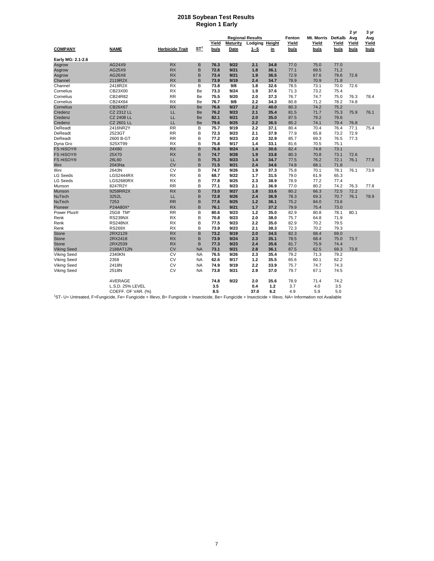#### **2018 Soybean Test Results Region 1 Early**

|                    |                                                                                                                                                                     |                        |                 |               |                         |                                  |           |               |               |               | 2 yr          | 3 yr          |
|--------------------|---------------------------------------------------------------------------------------------------------------------------------------------------------------------|------------------------|-----------------|---------------|-------------------------|----------------------------------|-----------|---------------|---------------|---------------|---------------|---------------|
|                    |                                                                                                                                                                     |                        |                 |               |                         | <b>Regional Results</b>          |           | Fenton        | Mt. Morris    | DeKalb        | Avg           | Avg           |
| <b>COMPANY</b>     | <b>NAME</b>                                                                                                                                                         | <b>Herbicide Trait</b> | ST <sup>1</sup> | Yield<br>bu/a | <b>Maturity</b><br>Date | <b>Lodging Height</b><br>$1 - 5$ |           | Yield<br>bu/a | Yield<br>bu/a | Yield<br>bu/a | Yield<br>bu/a | Yield<br>bu/a |
|                    |                                                                                                                                                                     |                        |                 |               |                         |                                  | <u>in</u> |               |               |               |               |               |
| Early MG: 2.1-2.6  |                                                                                                                                                                     |                        |                 |               |                         |                                  |           |               |               |               |               |               |
| Asgrow             | AG24X9                                                                                                                                                              | <b>RX</b>              | B               | 76.3          | 9/22                    | 2.1                              | 34.8      | 77.0          | 75.0          | 77.0          |               |               |
| Asgrow             | AG25X9                                                                                                                                                              | <b>RX</b>              | B               | 72.6          | 9/21                    | 1.8                              | 36.1      | 77.1          | 69.5          | 71.2          |               |               |
| Asgrow             | AG26X8                                                                                                                                                              | <b>RX</b>              | B               | 73.4          | 9/21                    | 1.9                              | 36.5      | 72.9          | 67.6          | 79.6          | 72.8          |               |
| Channel            | 2119R2X                                                                                                                                                             | <b>RX</b>              | B               | 73.9          | 9/19                    | 2.4                              | 34.7      | 78.9          | 70.9          | 71.8          |               |               |
| Channel            | 2418R2X                                                                                                                                                             | <b>RX</b>              | B               | 73.8          | 9/8                     | 1.8                              | 32.6      | 78.5          | 73.1          | 70.0          | 72.6          |               |
| Cornelius          | CB23X00                                                                                                                                                             | <b>RX</b>              | Be              | 73.3          | 9/24                    | 1.9                              | 37.6      | 71.3          | 73.2          | 75.4          |               |               |
| Cornelius          | CB24R82                                                                                                                                                             | <b>RR</b>              | Be              | 75.5          | 9/20                    | 2.0                              | 37.3      | 76.7          | 74.7          | 75.0          | 76.3          | 78.4          |
| Cornelius          | CB24X64                                                                                                                                                             | <b>RX</b>              | Be              | 76.7          | 9/8                     | 2.2                              | 34.3      | 80.8          | 71.2          | 78.2          | 74.8          |               |
| Cornelius          | CB26X67                                                                                                                                                             | <b>RX</b>              | Be              | 76.6          | 9/27                    | 2.2                              | 40.0      | 80.3          | 74.2          | 75.2          |               |               |
| Credenz            | CZ 2312 LL                                                                                                                                                          | LL                     | Be              | 76.2          | 9/23                    | 2.1                              | 35.4      | 81.5          | 71.7          | 75.3          | 75.9          | 76.1          |
| Credenz            | <b>CZ 2408 LL</b>                                                                                                                                                   | LL                     | Be              | 82.1          | 9/21                    | 2.0                              | 35.0      | 87.5          | 79.2          | 79.6          |               |               |
| Credenz            | <b>CZ 2601 LL</b>                                                                                                                                                   | LL                     | Be              | 79.6          | 9/25                    | 2.2                              | 36.5      | 85.2          | 74.1          | 79.4          | 76.8          |               |
| DeReadt            | 2416NR2Y                                                                                                                                                            | <b>RR</b>              | B               | 75.7          | 9/19                    | 2.2                              | 37.1      | 80.4          | 70.4          | 76.4          | 77.1          | 75.4          |
| DeReadt            | 2523GT                                                                                                                                                              | <b>RR</b>              | B               | 72.3          | 9/23                    | 2.1                              | 37.9      | 77.9          | 65.8          | 73.2          | 72.9          |               |
| DeReadt            | 2600 B-GT                                                                                                                                                           | <b>RR</b>              | B               | 77.2          | 9/23                    | 2.0                              | 32.9      | 85.7          | 69.3          | 76.5          | 77.3          |               |
| Dyna Gro           | S25XT99                                                                                                                                                             | <b>RX</b>              | B               | 75.8          | 9/17                    | 1.4                              | 33.1      | 81.6          | 70.5          | 75.1          |               |               |
| <b>FS HiSOY®</b>   | 24X80                                                                                                                                                               | <b>RX</b>              | B               | 76.8          | 9/24                    | 1.4                              | 30.6      | 82.4          | 74.8          | 73.1          |               |               |
| <b>FS HISOY®</b>   | 25X70                                                                                                                                                               | <b>RX</b>              | B               | 74.7          | 9/28                    | 1.9                              | 33.8      | 80.3          | 70.8          | 73.1          | 72.6          |               |
| <b>FS HiSOY®</b>   | 26L60                                                                                                                                                               | LL                     | B               | 75.3          | 9/23                    | 1.4                              | 34.7      | 77.5          | 76.2          | 72.1          | 76.1          | 77.8          |
| Illini             | 2043Na                                                                                                                                                              | <b>CV</b>              | B               | 71.5          | 9/21                    | 2.4                              | 34.6      | 74.8          | 68.1          | 71.8          |               |               |
| Illini             | 2643N                                                                                                                                                               | CV                     | B               | 74.7          | 9/26                    | 1.9                              | 37.3      | 75.8          | 70.1          | 78.1          | 76.1          | 73.9          |
|                    |                                                                                                                                                                     |                        |                 |               |                         |                                  |           |               |               |               |               |               |
| <b>LG Seeds</b>    | <b>LGS2444RX</b>                                                                                                                                                    | <b>RX</b><br><b>RX</b> | B<br>B          | 68.7          | 9/22<br>9/25            | 1.7                              | 31.5      | 79.0          | 61.9          | 65.3<br>77.4  |               |               |
| <b>LG Seeds</b>    | <b>LGS2680RX</b>                                                                                                                                                    | <b>RR</b>              |                 | 77.8          |                         | 2.3                              | 38.9      | 78.9          | 77.2          |               |               |               |
| Munson             | 8247R2Y                                                                                                                                                             |                        | B               | 77.1          | 9/23                    | 2.1                              | 36.9      | 77.0          | 80.2          | 74.2          | 76.3          | 77.8          |
| Munson             | 9258RR2X                                                                                                                                                            | <b>RX</b>              | B               | 73.0          | 9/27                    | 1.8                              | 33.6      | 80.2          | 66.3          | 72.5          | 72.2          |               |
| NuTech             | 3252L                                                                                                                                                               | LL                     | B               | 72.8          | 9/26                    | 2.4                              | 36.9      | 78.3          | 69.3          | 70.7          | 76.1          | 78.9          |
| NuTech             | 7253                                                                                                                                                                | <b>RR</b>              | B               | 77.6          | 9/25                    | 1.2                              | 36.1      | 75.2          | 84.0          | 73.6          |               |               |
| Pioneer            | P24A80X*                                                                                                                                                            | <b>RX</b>              | B               | 76.1          | 9/21                    | 1.7                              | 37.2      | 79.9          | 75.4          | 73.0          |               |               |
| Power Plus®        | 25G8 TM*                                                                                                                                                            | <b>RR</b>              | B               | 80.6          | 9/23                    | 1.2                              | 35.0      | 82.9          | 80.8          | 78.1          | 80.1          |               |
| Renk               | RS239NX                                                                                                                                                             | <b>RX</b>              | B               | 70.8          | 9/23                    | 2.0                              | 38.0      | 75.7          | 64.8          | 71.9          |               |               |
| Renk               | <b>RS248NX</b>                                                                                                                                                      | <b>RX</b>              | B               | 77.5          | 9/23                    | 2.2                              | 35.0      | 82.9          | 70.2          | 79.5          |               |               |
| Renk               | <b>RS269X</b>                                                                                                                                                       | <b>RX</b>              | B               | 73.9          | 9/23                    | 2.1                              | 38.3      | 72.3          | 70.2          | 79.3          |               |               |
| <b>Stone</b>       | 2RX2129                                                                                                                                                             | <b>RX</b>              | B               | 73.2          | 9/19                    | 2.0                              | 34.5      | 82.3          | 68.4          | 69.0          |               |               |
| <b>Stone</b>       | 2RX2418                                                                                                                                                             | <b>RX</b>              | B               | 73.9          | 9/24                    | 2.3                              | 35.1      | 78.5          | 68.4          | 75.0          | 73.7          |               |
| <b>Stone</b>       | 2RX2539                                                                                                                                                             | <b>RX</b>              | B               | 77.3          | 9/23                    | 2.4                              | 35.6      | 81.7          | 75.9          | 74.4          |               |               |
| <b>Viking Seed</b> | 2188AT12N                                                                                                                                                           | <b>CV</b>              | <b>NA</b>       | 73.1          | 9/21                    | 2.8                              | 36.1      | 87.5          | 62.5          | 69.3          | 73.8          |               |
| Viking Seed        | 2340KN                                                                                                                                                              | CV                     | <b>NA</b>       | 76.5          | 9/26                    | 2.3                              | 35.4      | 79.2          | 71.3          | 79.2          |               |               |
| Viking Seed        | 2358                                                                                                                                                                | CV                     | <b>NA</b>       | 62.6          | 9/17                    | 1.2                              | 35.5      | 65.6          | 60.1          | 62.2          |               |               |
| Viking Seed        | 2418N                                                                                                                                                               | <b>CV</b>              | <b>NA</b>       | 74.9          | 9/19                    | 2.2                              | 33.9      | 75.7          | 74.7          | 74.3          |               |               |
| Viking Seed        | 2518N                                                                                                                                                               | CV                     | <b>NA</b>       | 73.8          | 9/21                    | 2.9                              | 37.0      | 79.7          | 67.1          | 74.5          |               |               |
|                    | AVERAGE                                                                                                                                                             |                        |                 | 74.8          | 9/22                    | 2.0                              | 35.6      | 78.9          | 71.4          | 74.2          |               |               |
|                    | L.S.D. 25% LEVEL                                                                                                                                                    |                        |                 | 3.5           |                         | 0.4                              | $1.2$     | 3.7           | 4.0           | 3.5           |               |               |
|                    | COEFF. OF VAR. (%)                                                                                                                                                  |                        |                 | 8.5           |                         | 37.0                             | 6.2       | 4.9           | 5.9           | 5.0           |               |               |
|                    | <sup>1</sup> ST- U= Untreated, F=Fungicide, Fe= Fungicide + Illevo, B= Fungicide + Insecticide, Be= Fungicide + Insecticide + Illevo, NA= Information not Available |                        |                 |               |                         |                                  |           |               |               |               |               |               |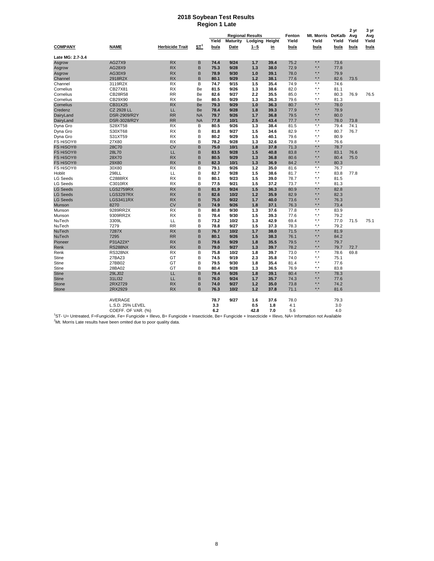#### **2018 Soybean Test Results Region 1 Late**

|                  |                                                                                                                                                                     |                        |                    |       |          |                                           |           | Fenton | Mt. Morris              | DeKalb | 2 yr         | 3 yr         |
|------------------|---------------------------------------------------------------------------------------------------------------------------------------------------------------------|------------------------|--------------------|-------|----------|-------------------------------------------|-----------|--------|-------------------------|--------|--------------|--------------|
|                  |                                                                                                                                                                     |                        |                    | Yield | Maturity | <b>Regional Results</b><br>Lodging Height |           | Yield  | Yield                   | Yield  | Avg<br>Yield | Avg<br>Yield |
| <b>COMPANY</b>   | <b>NAME</b>                                                                                                                                                         | <b>Herbicide Trait</b> | $S_{\mathbf{I}}^1$ | bu/a  | Date     | $1 - 5$                                   | <u>in</u> | bu/a   | bu/a                    | bu/a   | bu/a         | bu/a         |
| Late MG: 2.7-3.4 |                                                                                                                                                                     |                        |                    |       |          |                                           |           |        |                         |        |              |              |
| Asgrow           | AG27X9                                                                                                                                                              | <b>RX</b>              | B                  | 74.4  | 9/24     | 1.7                                       | 39.4      | 75.2   | *.*                     | 73.6   |              |              |
| Asgrow           | AG28X9                                                                                                                                                              | <b>RX</b>              | B                  | 75.3  | 9/28     | 1.3                                       | 38.0      | 72.9   | *.*                     | 77.8   |              |              |
| Asgrow           | AG30X9                                                                                                                                                              | <b>RX</b>              | B                  | 78.9  | 9/30     | 1.0                                       | 39.1      | 78.0   | ∗.∗                     | 79.9   |              |              |
| Channel          | 2918R2X                                                                                                                                                             | <b>RX</b>              | B                  | 80.1  | 9/29     | 1.2                                       | 38.1      | 77.6   | $^{\star}$ . $^{\star}$ | 82.6   | 73.5         |              |
| Channel          | 3119R2X                                                                                                                                                             | <b>RX</b>              | В                  | 74.7  | 9/15     | 1.5                                       | 35.4      | 74.9   | $^{\star}$ . $^{\star}$ | 74.6   |              |              |
| Cornelius        | CB27X81                                                                                                                                                             | <b>RX</b>              | Be                 | 81.5  | 9/26     | 1.3                                       | 38.6      | 82.0   | *.*                     | 81.1   |              |              |
| Cornelius        | CB28R58                                                                                                                                                             | <b>RR</b>              | Be                 | 82.6  | 9/27     | 2.2                                       | 35.5      | 85.0   | ۰.                      | 80.3   | 76.9         | 76.5         |
| Cornelius        | CB29X90                                                                                                                                                             | <b>RX</b>              | Be                 | 80.5  | 9/29     | 1.3                                       | 36.3      | 79.6   | **                      | 81.3   |              |              |
| Cornelius        | CB31X25                                                                                                                                                             | <b>RX</b>              | Be                 | 79.3  | 9/29     | 1.0                                       | 36.3      | 80.7   | *.*                     | 78.0   |              |              |
| Credenz          | <b>CZ 2928 LL</b>                                                                                                                                                   | LL                     | Be                 | 78.4  | 9/28     | 1.8                                       | 39.3      | 77.9   | *.*                     | 78.9   |              |              |
| DairyLand        | DSR-2909/R2Y                                                                                                                                                        | <b>RR</b>              | <b>NA</b>          | 79.7  | 9/26     | 1.7                                       | 36.8      | 79.5   | *.*                     | 80.0   |              |              |
| DairyLand        | DSR-3028/R2Y                                                                                                                                                        | <b>RR</b>              | <b>NA</b>          | 77.8  | 10/1     | 2.5                                       | 43.4      | 77.7   | $*$ . $*$               | 78.0   | 73.8         |              |
| Dyna Gro         | S28XT58                                                                                                                                                             | RX                     | в                  | 80.5  | 9/26     | 1.3                                       | 38.4      | 81.5   | *.*                     | 79.4   | 74.1         |              |
| Dyna Gro         | S30XT68                                                                                                                                                             | RX                     | В                  | 81.8  | 9/27     | 1.5                                       | 34.6      | 82.9   | *.*                     | 80.7   | 76.7         |              |
| Dyna Gro         | S31XT59                                                                                                                                                             | <b>RX</b>              | B                  | 80.2  | 9/29     | 1.5                                       | 40.1      | 79.6   | ∗.*                     | 80.9   |              |              |
| FS HiSOY®        | 27X80                                                                                                                                                               | <b>RX</b>              | B                  | 78.2  | 9/28     | 1.3                                       | 32.6      | 79.8   | $\star$ $\star$         | 76.6   |              |              |
| <b>FS HiSOY®</b> | 28C70                                                                                                                                                               | <b>CV</b>              | B                  | 75.0  | 10/1     | 1.8                                       | 37.8      | 71.3   | *.*                     | 78.7   |              |              |
| <b>FS HiSOY®</b> | 28L70                                                                                                                                                               | LL                     | B                  | 83.5  | 9/28     | 1.5                                       | 40.8      | 83.8   | *.*                     | 83.1   | 76.6         |              |
| FS HiSOY®        | 28X70                                                                                                                                                               | <b>RX</b>              | B                  | 80.5  | 9/29     | 1.3                                       | 36.8      | 80.6   | *.*                     | 80.4   | 75.0         |              |
| FS HiSOY®        | 29X80                                                                                                                                                               | <b>RX</b>              | B                  | 82.3  | 10/1     | 1.3                                       | 36.9      | 84.2   | $^{\star}$ . $^{\star}$ | 80.3   |              |              |
| FS HiSOY®        | 30X80                                                                                                                                                               | RX                     | B                  | 79.1  | 9/26     | 1.2                                       | 35.0      | 81.6   | *.*                     | 76.7   |              |              |
| Hoblit           | 298LL                                                                                                                                                               | LL                     | B                  | 82.7  | 9/28     | 1.5                                       | 38.6      | 81.7   | ۰.                      | 83.8   | 77.8         |              |
| LG Seeds         | C2888RX                                                                                                                                                             | RX                     | B                  | 80.1  | 9/23     | 1.5                                       | 39.0      | 78.7   | *.*                     | 81.5   |              |              |
| <b>LG Seeds</b>  | C3010RX                                                                                                                                                             | <b>RX</b>              | B                  | 77.5  | 9/21     | 1.5                                       | 37.2      | 73.7   | $^{\star}$ .            | 81.3   |              |              |
| <b>LG Seeds</b>  | <b>LGS2759RX</b>                                                                                                                                                    | <b>RX</b>              | B                  | 81.9  | 9/24     | 1.5                                       | 36.3      | 80.9   | *.*                     | 82.8   |              |              |
| <b>LG Seeds</b>  | <b>LGS3297RX</b>                                                                                                                                                    | <b>RX</b>              | B                  | 82.6  | 10/2     | 1.2                                       | 35.9      | 82.9   | * *                     | 82.3   |              |              |
|                  |                                                                                                                                                                     |                        | B                  | 75.0  | 9/22     |                                           | 40.0      |        | *.*                     |        |              |              |
| <b>LG Seeds</b>  | <b>LGS3411RX</b>                                                                                                                                                    | <b>RX</b><br><b>CV</b> | B                  |       | 9/26     | 1.7<br>1.8                                |           | 73.6   |                         | 76.3   |              |              |
| Munson           | 8270                                                                                                                                                                |                        |                    | 74.9  |          |                                           | 37.1      | 76.3   | *.*<br>$*$ .            | 73.4   |              |              |
| Munson           | 9289RR2X                                                                                                                                                            | RX                     | B                  | 80.8  | 9/30     | 1.3                                       | 37.6      | 77.8   |                         | 83.9   |              |              |
| Munson           | 9309RR2X                                                                                                                                                            | <b>RX</b>              | B                  | 78.4  | 9/30     | 1.5                                       | 39.3      | 77.6   | *.*<br>۰.               | 79.2   |              |              |
| NuTech           | 3309L                                                                                                                                                               | LL                     | B                  | 73.2  | 10/2     | 1.3                                       | 42.9      | 69.4   |                         | 77.0   | 71.5         | 75.1         |
| NuTech           | 7279                                                                                                                                                                | <b>RR</b>              | B                  | 78.8  | 9/27     | 1.5                                       | 37.3      | 78.3   | $^{\star}$ .            | 79.2   |              |              |
| NuTech           | 7287X                                                                                                                                                               | <b>RX</b>              | B                  | 76.7  | 10/2     | 1.7                                       | 38.0      | 71.5   | ∗.∗                     | 81.9   |              |              |
| NuTech           | 7295                                                                                                                                                                | <b>RR</b>              | B                  | 80.1  | 9/26     | 1.5                                       | 38.3      | 76.1   | $^{\star}$ . $^{\star}$ | 84.2   |              |              |
| Pioneer          | P31A22X*                                                                                                                                                            | <b>RX</b>              | B                  | 79.6  | 9/29     | 1.8                                       | 35.5      | 79.5   | *.*                     | 79.7   |              |              |
| Renk             | <b>RS288NX</b>                                                                                                                                                      | <b>RX</b>              | B                  | 79.0  | 9/27     | 1.3                                       | 39.7      | 78.2   | *.*                     | 79.7   | 72.7         |              |
| Renk             | <b>RS328NX</b>                                                                                                                                                      | <b>RX</b>              | B                  | 75.8  | 10/2     | 1.8                                       | 39.7      | 73.0   | *.*                     | 78.6   | 69.8         |              |
| Stine            | 27BA23                                                                                                                                                              | GT                     | B                  | 74.5  | 9/19     | 2.3                                       | 35.8      | 74.0   | ۰.                      | 75.1   |              |              |
| <b>Stine</b>     | 27BB02                                                                                                                                                              | GT                     | B                  | 79.5  | 9/30     | 1.8                                       | 35.4      | 81.4   | *.*                     | 77.6   |              |              |
| Stine            | 28BA02                                                                                                                                                              | GT                     | B                  | 80.4  | 9/28     | 1.3                                       | 36.5      | 76.9   | *.*                     | 83.8   |              |              |
| <b>Stine</b>     | 29LJ02                                                                                                                                                              | LL                     | B                  | 79.4  | 9/26     | 1.8                                       | 39.1      | 80.4   | ∗.∗                     | 78.3   |              |              |
| <b>Stine</b>     | 31LI32                                                                                                                                                              | LL                     | B                  | 76.0  | 9/24     | 1.7                                       | 35.7      | 74.3   | $^{\star}$ . $^{\star}$ | 77.6   |              |              |
| <b>Stone</b>     | 2RX2729                                                                                                                                                             | <b>RX</b>              | B                  | 74.0  | 9/27     | 1.2                                       | 35.0      | 73.8   | ∗.∗                     | 74.2   |              |              |
| <b>Stone</b>     | 2RX2929                                                                                                                                                             | <b>RX</b>              | B                  | 76.3  | 10/2     | 1.2                                       | 37.8      | 71.1   | ∗.∗                     | 81.6   |              |              |
|                  | AVERAGE                                                                                                                                                             |                        |                    | 78.7  | 9/27     | 1.6                                       | 37.6      | 78.0   |                         | 79.3   |              |              |
|                  | L.S.D. 25% LEVEL                                                                                                                                                    |                        |                    | 3.3   |          | 0.5                                       | 1.8       | 4.1    |                         | 3.0    |              |              |
|                  | COEFF. OF VAR. (%)                                                                                                                                                  |                        |                    | 6.2   |          | 42.8                                      | 7.0       | 5.6    |                         | 4.0    |              |              |
|                  | <sup>1</sup> ST- U= Untreated, F=Fungicide, Fe= Fungicide + Illevo, B= Fungicide + Insecticide, Be= Fungicide + Insecticide + Illevo, NA= Information not Available |                        |                    |       |          |                                           |           |        |                         |        |              |              |

 $2$ Mt. Morris Late results have been omited due to poor quality data.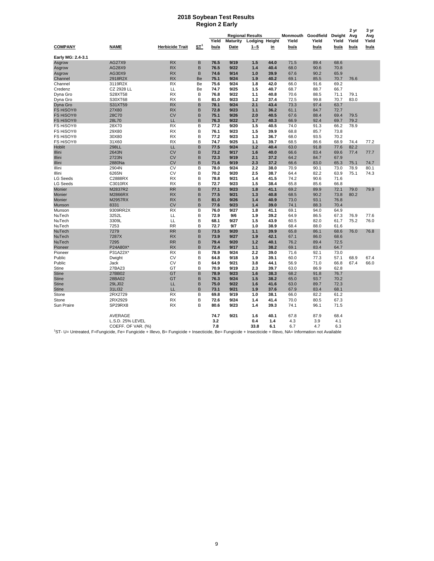#### **2018 Soybean Test Results Region 2 Early**

|                   |                                                                                                                                                                     |                        |                 |       |                         |                                  |           |               |               |               | 2 yr          | 3 yr          |
|-------------------|---------------------------------------------------------------------------------------------------------------------------------------------------------------------|------------------------|-----------------|-------|-------------------------|----------------------------------|-----------|---------------|---------------|---------------|---------------|---------------|
|                   |                                                                                                                                                                     |                        |                 | Yield |                         | <b>Regional Results</b>          |           | Monmouth      | Goodfield     | Dwight        | Avg           | Avg           |
| <b>COMPANY</b>    | <b>NAME</b>                                                                                                                                                         | <b>Herbicide Trait</b> | ST <sup>1</sup> | bu/a  | <b>Maturity</b><br>Date | <b>Lodging Height</b><br>$1 - 5$ | <u>in</u> | Yield<br>bu/a | Yield<br>bu/a | Yield<br>bu/a | Yield<br>bu/a | Yield<br>bu/a |
| Early MG: 2.4-3.1 |                                                                                                                                                                     |                        |                 |       |                         |                                  |           |               |               |               |               |               |
| Asgrow            | AG27X9                                                                                                                                                              | <b>RX</b>              | B               | 76.5  | 9/19                    | 1.5                              | 44.0      | 71.5          | 89.4          | 68.6          |               |               |
| Asgrow            | AG28X9                                                                                                                                                              | <b>RX</b>              | B               | 76.5  | 9/22                    | 1.4                              | 40.4      | 68.0          | 90.6          | 70.8          |               |               |
| Asgrow            | AG30X9                                                                                                                                                              | <b>RX</b>              | B               | 74.6  | 9/14                    | 1.0                              | 39.9      | 67.6          | 90.2          | 65.9          |               |               |
| Channel           | 2918R2X                                                                                                                                                             | <b>RX</b>              | Be              | 75.1  | 9/24                    | 1.9                              | 40.2      | 69.1          | 85.5          | 70.7          | 76.6          |               |
| Channel           | 3119R2X                                                                                                                                                             | <b>RX</b>              | Be              | 75.6  | 9/24                    | 1.8                              | 42.0      | 66.0          | 91.6          | 69.2          |               |               |
| Credenz           | CZ 2928 LL                                                                                                                                                          | LL                     | Be              | 74.7  | 9/25                    | 1.5                              | 40.7      | 68.7          | 88.7          | 66.7          |               |               |
| Dyna Gro          | S28XT58                                                                                                                                                             | <b>RX</b>              | B               | 76.8  | 9/22                    | 1.1                              | 40.8      | 70.6          | 88.5          | 71.1          | 79.1          |               |
| Dyna Gro          | S30XT68                                                                                                                                                             | <b>RX</b>              | B               | 81.0  | 9/23                    | 1.2                              | 37.4      | 72.5          | 99.8          | 70.7          | 83.0          |               |
| Dyna Gro          | S31XT59                                                                                                                                                             | <b>RX</b>              | B               | 78.1  | 9/24                    | 2.1                              | 43.4      | 73.3          | 97.4          | 63.7          |               |               |
| <b>FS HiSOY®</b>  | 27X80                                                                                                                                                               | <b>RX</b>              | B               | 72.8  | 9/23                    | 1.1                              | 36.2      | 61.1          | 84.7          | 72.7          |               |               |
| <b>FS HiSOY®</b>  | 28C70                                                                                                                                                               | <b>CV</b>              | B               | 75.1  | 9/26                    | 2.0                              | 40.5      | 67.6          | 88.4          | 69.4          | 79.5          |               |
| <b>FS HiSOY®</b>  | 28L70                                                                                                                                                               | LL                     | B               | 76.3  | 9/22                    | 1.7                              | 40.3      | 66.9          | 92.4          | 69.7          | 79.2          |               |
| FS HiSOY®         | 28X70                                                                                                                                                               | <b>RX</b>              | B               | 77.2  | 9/20                    | 1.5                              | 40.5      | 74.0          | 91.3          | 66.2          | 78.9          |               |
| FS HiSOY®         | 29X80                                                                                                                                                               | <b>RX</b>              | B               | 76.1  | 9/23                    | 1.5                              | 39.9      | 68.8          | 85.7          | 73.8          |               |               |
| FS HiSOY®         | 30X80                                                                                                                                                               | <b>RX</b>              | B               | 77.2  | 9/23                    | 1.3                              | 36.7      | 68.0          | 93.5          | 70.2          |               |               |
| FS HiSOY®         | 31X60                                                                                                                                                               | <b>RX</b>              | B               | 74.7  | 9/25                    | 1.1                              | 39.7      | 68.5          | 86.6          | 68.9          | 74.4          | 77.2          |
| Hoblit            | 298LL                                                                                                                                                               | LL                     | B               | 77.5  | 9/24                    | 1.2                              | 40.4      | 63.0          | 91.8          | 77.6          | 82.2          |               |
| Illini            | 2643N                                                                                                                                                               | <b>CV</b>              | B               | 73.2  | 9/17                    | 1.6                              | 40.0      | 66.6          | 83.4          | 69.6          | 77.4          | 77.7          |
| Illini            | 2723N                                                                                                                                                               | <b>CV</b>              | B               | 72.3  | 9/19                    | 2.1                              | 37.2      | 64.2          | 84.7          | 67.9          |               |               |
| Illini            | 2880Na                                                                                                                                                              | <b>CV</b>              | B               | 71.6  | 9/19                    | 2.3                              | 37.2      | 66.6          | 83.0          | 65.3          | 75.1          | 74.7          |
| Illini            | 2904N                                                                                                                                                               | CV                     | B               | 78.0  | 9/24                    | 2.2                              | 38.0      | 70.9          | 90.1          | 73.0          | 78.9          | 80.1          |
| Illini            | 6265N                                                                                                                                                               | CV                     | B               | 70.2  | 9/20                    | 2.5                              | 38.7      | 64.4          | 82.2          | 63.9          | 75.1          | 74.3          |
| <b>LG Seeds</b>   | C2888RX                                                                                                                                                             | <b>RX</b>              | B               | 78.8  | 9/21                    | 1.4                              | 41.5      | 74.2          | 90.6          | 71.6          |               |               |
| <b>LG Seeds</b>   | C3010RX                                                                                                                                                             | <b>RX</b>              | B               | 72.7  | 9/23                    | 1.5                              | 38.4      | 65.8          | 85.6          | 66.8          |               |               |
| Monier            | M2837R2                                                                                                                                                             | <b>RR</b>              | B               | 77.1  | 9/23                    | 1.8                              | 41.1      | 69.2          | 89.9          | 72.1          | 79.0          | 79.9          |
| Monier            | M2866RX                                                                                                                                                             | <b>RX</b>              | B               | 77.5  | 9/21                    | 1.3                              | 40.8      | 68.5          | 90.2          | 73.8          | 80.2          |               |
| Monier            | M2957RX                                                                                                                                                             | <b>RX</b>              | B               | 81.0  | 9/26                    | 1.4                              | 40.9      | 73.0          | 93.1          | 76.8          |               |               |
| Munson            | 8331                                                                                                                                                                | <b>CV</b>              | B               | 77.6  | 9/23                    | 1.4                              | 39.0      | 74.1          | 88.3          | 70.4          |               |               |
| Munson            | 9309RR2X                                                                                                                                                            | <b>RX</b>              | B               | 76.0  | 9/27                    | 1.8                              | 41.1      | 69.1          | 94.0          | 64.9          |               |               |
| NuTech            | 3252L                                                                                                                                                               | LL                     | B               | 72.9  | 9/6                     | 1.9                              | 39.2      | 64.9          | 86.5          | 67.3          | 76.9          | 77.6          |
| NuTech            | 3309L                                                                                                                                                               | LL                     | B               | 68.1  | 9/27                    | 1.5                              | 43.9      | 60.5          | 82.0          | 61.7          | 75.2          | 76.0          |
| NuTech            | 7253                                                                                                                                                                | <b>RR</b>              | B               | 72.7  | 9/7                     | 1.0                              | 38.9      | 68.4          | 88.0          | 61.6          |               |               |
| NuTech            | 7279                                                                                                                                                                | <b>RR</b>              | B               | 73.5  | 9/20                    | 1.1                              | 39.9      | 65.8          | 86.1          | 68.6          | 76.0          | 76.8          |
| NuTech            | 7287X                                                                                                                                                               | <b>RX</b>              | B               | 73.9  | 9/27                    | 1.9                              | 42.1      | 67.1          | 86.0          | 68.6          |               |               |
| NuTech            | 7295                                                                                                                                                                | <b>RR</b>              | B               | 79.4  | 9/20                    | 1.2                              | 40.1      | 76.2          | 89.4          | 72.5          |               |               |
| Pioneer           | P24A80X*                                                                                                                                                            | <b>RX</b>              | B               | 72.4  | 9/17                    | 1.1                              | 38.2      | 69.1          | 83.4          | 64.7          |               |               |
| Pioneer           | P31A22X*                                                                                                                                                            | <b>RX</b>              | B               | 78.9  | 9/24                    | 2.2                              | 39.0      | 71.6          | 92.1          | 73.0          |               |               |
| Public            | Dwight                                                                                                                                                              | CV                     | в               | 64.8  | 9/18                    | 1.9                              | 39.1      | 60.0          | 77.3          | 57.1          | 68.9          | 67.4          |
| Public            | Jack                                                                                                                                                                | CV                     | B               | 64.9  | 9/21                    | 3.8                              | 44.1      | 56.9          | 71.0          | 66.8          | 67.4          | 66.0          |
| Stine             | 27BA23                                                                                                                                                              | GT                     | B               | 70.9  | 9/19                    | 2.3                              | 39.7      | 63.0          | 86.9          | 62.8          |               |               |
| <b>Stine</b>      | 27BB02                                                                                                                                                              | GT                     | B               | 78.9  | 9/23                    | 1.6                              | 38.3      | 68.2          | 91.8          | 76.7          |               |               |
| <b>Stine</b>      | 28BA02                                                                                                                                                              | GT                     | B               | 76.3  | 9/24                    | 1.5                              | 38.2      | 65.0          | 93.7          | 70.2          |               |               |
| <b>Stine</b>      | 29LJ02                                                                                                                                                              | LL                     | B               | 75.0  | 9/22                    | 1.6                              | 41.6      | 63.0          | 89.7          | 72.3          |               |               |
| <b>Stine</b>      | 31LI32                                                                                                                                                              | LL                     | B               | 73.1  | 9/21                    | 1.9                              | 37.6      | 67.9          | 83.4          | 68.1          |               |               |
| Stone             | 2RX2729                                                                                                                                                             | <b>RX</b>              | в               | 69.8  | 9/19                    | 1.0                              | 38.1      | 66.0          | 82.2          | 61.2          |               |               |
| Stone             | 2RX2929                                                                                                                                                             | <b>RX</b>              | B               | 72.6  | 9/24                    | 1.4                              | 41.4      | 70.0          | 80.5          | 67.3          |               |               |
| Sun Praire        | SP29RX8                                                                                                                                                             | <b>RX</b>              | B               | 80.6  | 9/23                    | 1.4                              | 39.3      | 74.1          | 96.1          | 71.5          |               |               |
|                   | AVERAGE                                                                                                                                                             |                        |                 | 74.7  | 9/21                    | 1.6                              | 40.1      | 67.8          | 87.9          | 68.4          |               |               |
|                   | L.S.D. 25% LEVEL                                                                                                                                                    |                        |                 | 3.2   |                         | 0.4                              | 1.4       | 4.3           | 3.9           | 4.1           |               |               |
|                   | COEFF. OF VAR. (%)                                                                                                                                                  |                        |                 | 7.8   |                         | 33.8                             | 6.1       | 6.7           | 4.7           | 6.3           |               |               |
|                   | <sup>1</sup> ST- U= Untreated, F=Fungicide, Fe= Fungicide + Illevo, B= Fungicide + Insecticide, Be= Fungicide + Insecticide + Illevo, NA= Information not Available |                        |                 |       |                         |                                  |           |               |               |               |               |               |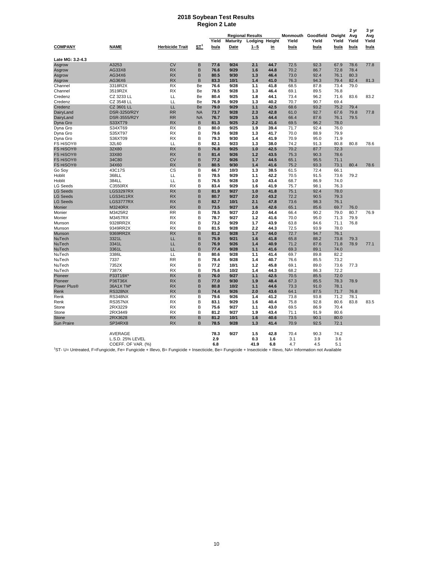#### **2018 Soybean Test Results Region 2 Late**

|                        |                             |                        |                 |              |                         |                               |              |               |                    |               | 2 yr          | 3 yr          |
|------------------------|-----------------------------|------------------------|-----------------|--------------|-------------------------|-------------------------------|--------------|---------------|--------------------|---------------|---------------|---------------|
|                        |                             |                        |                 | Yield        |                         | <b>Regional Results</b>       |              |               | Monmouth Goodfield | Dwight        | Avg           | Avg           |
| <b>COMPANY</b>         | <b>NAME</b>                 | <b>Herbicide Trait</b> | ST <sup>1</sup> | bu/a         | <b>Maturity</b><br>Date | <b>Lodging Height</b><br>1--5 | <u>in</u>    | Yield<br>bu/a | Yield<br>bu/a      | Yield<br>bu/a | Yield<br>bu/a | Yield<br>bu/a |
|                        |                             |                        |                 |              |                         |                               |              |               |                    |               |               |               |
| Late MG: 3.2-4.3       |                             |                        |                 |              |                         |                               |              |               |                    |               |               |               |
| Asgrow                 | A3253                       | <b>CV</b>              | B               | 77.6         | 9/24                    | 2.1                           | 44.7         | 72.5          | 92.3               | 67.9          | 78.6          | 77.8          |
| Asgrow                 | AG33X8                      | <b>RX</b>              | B               | 76.6         | 9/29                    | 1.6                           | 44.8         | 70.2          | 86.7               | 72.8          | 78.4          |               |
| Asgrow                 | AG34X6                      | <b>RX</b>              | B               | 80.5         | 9/30                    | 1.3                           | 46.4         | 73.0          | 92.4               | 76.1          | 80.3          |               |
| Asgrow                 | AG36X6                      | <b>RX</b>              | B               | 83.3         | 10/1                    | 1.4                           | 41.0         | 76.3          | 94.3               | 79.4          | 82.4          | 81.3          |
| Channel                | 3318R2X                     | RX                     | Be              | 76.6         | 9/28                    | 1.1                           | 41.8         | 68.5          | 87.8               | 73.4          | 79.0          |               |
| Channel                | 3519R2X                     | RX                     | Be              | 78.5         | 9/28                    | 1.3                           | 46.4         | 69.1          | 89.5               | 76.8          |               |               |
| Credenz                | CZ 3233 LL                  | LL<br>LL               | Be<br>Be        | 80.4         | 9/25                    | 1.8                           | 44.1         | 73.4          | 96.2               | 71.6<br>69.4  | 83.6          | 83.2          |
| Credenz                | CZ 3548 LL                  | LL                     | Be              | 76.9<br>79.0 | 9/29<br>9/29            | 1.3<br>1.1                    | 40.2<br>42.5 | 70.7<br>68.6  | 90.7<br>93.2       | 75.2          |               |               |
| Credenz                | CZ 3601 LL<br>DSR-3250/R2Y  | <b>RR</b>              | <b>NA</b>       | 73.7         | 9/28                    | 2.3                           | 42.8         | 61.0          | 92.7               | 67.6          | 79.4<br>79.8  | 77.8          |
| DairyLand<br>DairyLand | DSR-3555/R2Y                | <b>RR</b>              | <b>NA</b>       | 76.7         | 9/29                    | 1.5                           | 44.4         | 66.4          | 87.6               | 76.1          | 79.5          |               |
| Dyna Gro               | S33XT79                     | <b>RX</b>              | B               | 81.3         | 9/25                    | 2.2                           | 41.6         | 69.5          | 96.2               | 78.0          |               |               |
| Dyna Gro               | S34XT69                     | <b>RX</b>              | B               | 80.0         | 9/25                    | 1.9                           | 39.4         | 71.7          | 92.4               | 76.0          |               |               |
| Dyna Gro               | S35XT97                     | <b>RX</b>              | B               | 79.6         | 9/28                    | 1.3                           | 41.7         | 70.0          | 88.9               | 79.9          |               |               |
| Dyna Gro               | S36XT09                     | <b>RX</b>              | B               | 79.3         | 9/30                    | 1.4                           | 41.9         | 70.9          | 95.0               | 71.9          |               |               |
| FS HiSOY®              | 32L60                       | LL                     | B               | 82.1         | 9/23                    | 1.3                           | 38.0         | 74.2          | 91.3               | 80.8          | 80.8          | 78.6          |
| FS HiSOY®              | 32X80                       | <b>RX</b>              | B               | 76.8         | 9/25                    | 1.0                           | 42.5         | 70.2          | 87.7               | 72.3          |               |               |
| <b>FS HiSOY®</b>       | 33X80                       | <b>RX</b>              | B               | 81.4         | 9/26                    | 1.2                           | 43.5         | 75.3          | 90.3               | 78.6          |               |               |
| FS HiSOY®              | 34C80                       | <b>CV</b>              | B               | 77.2         | 9/26                    | 1.7                           | 44.5         | 65.1          | 95.5               | 71.1          |               |               |
| <b>FS HiSOY®</b>       | 34X60                       | <b>RX</b>              | B               | 80.5         | 9/30                    | 1.4                           | 41.6         | 75.2          | 93.3               | 73.1          | 80.4          | 78.6          |
| Go Soy                 | 43C17S                      | CS                     | B               | 66.7         | 10/3                    | 1.3                           | 38.5         | 61.5          | 72.4               | 66.1          |               |               |
| Hoblit                 | 368LL                       | LL                     | B               | 78.5         | 9/29                    | 1.1                           | 42.2         | 70.5          | 91.5               | 73.6          | 79.2          |               |
| Hoblit                 | 384LL                       | LL                     | B               | 76.5         | 9/28                    | 1.0                           | 43.4         | 68.7          | 86.9               | 74.0          |               |               |
| LG Seeds               | C3550RX                     | <b>RX</b>              | B               | 83.4         | 9/29                    | 1.6                           | 41.9         | 75.7          | 98.1               | 76.3          |               |               |
| <b>LG Seeds</b>        | LGS3297RX                   | <b>RX</b>              | B               | 81.9         | 9/27                    | 1.0                           | 41.8         | 75.1          | 92.4               | 78.0          |               |               |
| <b>LG Seeds</b>        | <b>LGS3411RX</b>            | <b>RX</b>              | B               | 80.7         | 9/27                    | 2.0                           | 43.2         | 72.2          | 90.5               | 79.3          |               |               |
| <b>LG Seeds</b>        | LGS3777RX                   | <b>RX</b>              | B               | 82.7         | 10/1                    | 2.1                           | 47.8         | 73.6          | 98.3               | 76.1          |               |               |
| Monier                 | M3240RX                     | <b>RX</b>              | B               | 73.5         | 9/27                    | 1.6                           | 42.6         | 65.1          | 85.6               | 69.7          | 76.0          |               |
| Monier                 | M3425R2                     | <b>RR</b>              | B               | 78.5         | 9/27                    | 2.0                           | 44.4         | 66.4          | 90.2               | 79.0          | 80.7          | 76.9          |
| Monier                 | M3457RX                     | <b>RX</b>              | B               | 78.7         | 9/27                    | 1.2                           | 41.6         | 70.0          | 95.0               | 71.3          | 79.9          |               |
| Munson                 | 9328RR2X                    | <b>RX</b>              | B               | 73.2         | 9/29                    | 1.7                           | 43.9         | 63.8          | 84.6               | 71.1          | 76.8          |               |
| Munson                 | 9349RR2X                    | <b>RX</b>              | B               | 81.5         | 9/28                    | 2.2                           | 44.3         | 72.5          | 93.9               | 78.0          |               |               |
| Munson                 | 9369RR2X                    | <b>RX</b>              | B               | 81.2         | 9/28                    | 1.7                           | 44.0         | 72.7          | 94.7               | 76.1          |               |               |
| NuTech                 | 3321L                       | LL                     | B               | 75.9         | 9/21                    | 1.6                           | 41.8         | 65.8          | 88.2               | 73.8          | 79.3          |               |
| NuTech                 | 3341L                       | LL                     | B               | 76.9         | 9/26                    | 1.4                           | 40.9         | 71.2          | 87.6               | 71.8          | 78.9          | 77.1          |
| NuTech                 | 3361L                       | LL                     | B               | 77.4         | 9/28                    | 1.1                           | 41.6         | 69.3          | 89.1               | 74.0          |               |               |
| NuTech                 | 3386L                       | LL                     | В               | 80.6         | 9/28                    | 1.1                           | 41.4         | 69.7          | 89.8               | 82.2          |               |               |
| NuTech                 | 7337                        | <b>RR</b><br><b>RX</b> | B<br>B          | 78.4         | 9/28                    | 1.4                           | 40.7         | 76.6          | 85.5               | 73.2          |               |               |
| NuTech<br>NuTech       | 7352X<br>7387X              | <b>RX</b>              | B               | 77.2<br>75.6 | 10/1<br>10/2            | 1.2<br>1.4                    | 45.8<br>44.3 | 69.1<br>68.2  | 89.0<br>86.3       | 73.6<br>72.2  | 77.3          |               |
| Pioneer                | P33T19X*                    | <b>RX</b>              | B               | 76.0         | 9/27                    | 1.1                           | 42.5         | 70.5          | 85.5               | 72.0          |               |               |
| Pioneer                | P36T36X                     | <b>RX</b>              | B               | 77.0         | 9/30                    | 1.9                           | 48.4         | 67.3          | 85.5               | 78.3          | 78.9          |               |
| Power Plus®            | 36A1X TM*                   | <b>RX</b>              | B               | 80.8         | 10/2                    | 1.1                           | 44.6         | 73.3          | 91.0               | 78.1          |               |               |
| Renk                   | <b>RS328NX</b>              | <b>RX</b>              | B               | 74.4         | 9/26                    | 2.0                           | 43.6         | 64.1          | 87.5               | 71.7          | 76.8          |               |
| Renk                   | <b>RS348NX</b>              | <b>RX</b>              | B               | 79.6         | 9/26                    | 1.4                           | 41.2         | 73.8          | 93.8               | 71.2          | 78.1          |               |
| Renk                   | RS357NX                     | <b>RX</b>              | B               | 83.1         | 9/29                    | 1.6                           | 40.4         | 75.8          | 92.8               | 80.6          | 83.8          | 83.5          |
| Stone                  | 2RX3229                     | <b>RX</b>              | B               | 75.6         | 9/27                    | 1.1                           | 43.0         | 69.5          | 86.9               | 70.4          |               |               |
| Stone                  | 2RX3449                     | <b>RX</b>              | B               | 81.2         | 9/27                    | 1.9                           | 43.4         | 71.1          | 91.9               | 80.6          |               |               |
| Stone                  | 2RX3628                     | <b>RX</b>              | B               | 81.2         | 10/1                    | 1.6                           | 40.6         | 73.5          | 90.1               | 80.0          |               |               |
| <b>Sun Praire</b>      | SP34RX8                     | <b>RX</b>              | B               | 78.5         | 9/28                    | 1.3                           | 41.4         | 70.9          | 92.5               | 72.1          |               |               |
|                        |                             |                        |                 |              | 9/27                    | 1.5                           |              |               |                    | 74.2          |               |               |
|                        | AVERAGE<br>L.S.D. 25% LEVEL |                        |                 | 78.3<br>2.9  |                         | 0.3                           | 42.8<br>1.6  | 70.4<br>3.1   | 90.3<br>3.9        | 3.6           |               |               |
|                        | COEFF. OF VAR. (%)          |                        |                 | 6.8          |                         | 41.9                          | 6.8          | 4.7           | 4.5                | 5.1           |               |               |
|                        |                             |                        |                 |              |                         |                               |              |               |                    |               |               |               |

COEFF. OF VAR. (%) **6.8 41.9 6.8** 4.7 4.5 5.1 <sup>1</sup>ST- U= Untreated, F=Fungicide, Fe= Fungicide + Illevo, B= Fungicide + Insecticide, Be= Fungicide + Insecticide + Illevo, NA= Information not Available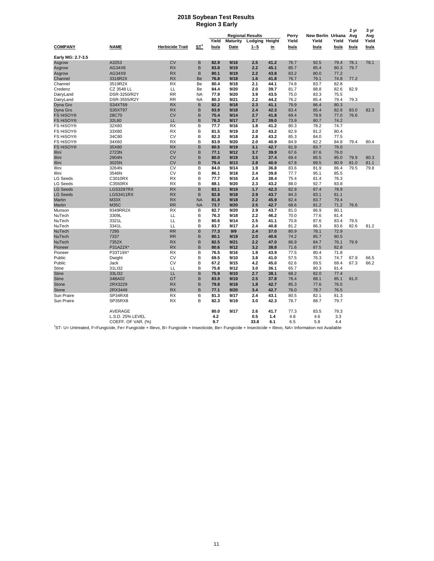#### **2018 Soybean Test Results Region 3 Early**

|                   |                                                                                                                                                                     |                        |                       |              |                 | <b>Regional Results</b> |              | Perry        | New Berlin Urbana |              | 2 yr<br>Avg | 3 yr         |
|-------------------|---------------------------------------------------------------------------------------------------------------------------------------------------------------------|------------------------|-----------------------|--------------|-----------------|-------------------------|--------------|--------------|-------------------|--------------|-------------|--------------|
|                   |                                                                                                                                                                     |                        |                       | Yield        | <b>Maturity</b> | Lodging Height          |              | Yield        | Yield             | Yield        | Yield       | Avg<br>Yield |
| <b>COMPANY</b>    | <b>NAME</b>                                                                                                                                                         | <b>Herbicide Trait</b> | <u>ST<sup>1</sup></u> | bu/a         | Date            | $1 - 5$                 | in           | bu/a         | bu/a              | bu/a         | bu/a        | bu/a         |
| Early MG: 2.7-3.5 |                                                                                                                                                                     |                        |                       |              |                 |                         |              |              |                   |              |             |              |
| Asgrow            | A3253                                                                                                                                                               | <b>CV</b>              | B                     | 82.9         | 9/16            | 2.5                     | 41.2         | 76.7         | 92.5              | 79.4         | 78.1        | 78.1         |
| Asgrow            | AG34X6                                                                                                                                                              | <b>RX</b>              | B                     | 83.8         | 9/19            | 2.2                     | 45.1         | 85.7         | 85.4              | 80.3         | 79.7        |              |
| Asgrow            | AG34X9                                                                                                                                                              | <b>RX</b>              | B                     | 80.1         | 9/19            | 2.2                     | 43.8         | 83.2         | 80.0              | 77.2         |             |              |
| Channel           | 3318R2X                                                                                                                                                             | <b>RX</b>              | Be                    | 76.8         | 9/18            | 1.6                     | 41.8         | 76.7         | 79.1              | 74.8         | 77.2        |              |
| Channel           | 3519R2X                                                                                                                                                             | <b>RX</b>              | Be                    | 80.4         | 9/18            | 2.1                     | 44.1         | 74.8         | 83.7              | 82.8         |             |              |
| Credenz           | CZ 3548 LL                                                                                                                                                          | LL                     | Be                    | 84.4         | 9/20            | 2.0                     | 39.7         | 81.7         | 88.8              | 82.6         | 82.9        |              |
| DairyLand         | DSR-3250/R2Y                                                                                                                                                        | <b>RR</b>              | <b>NA</b>             | 77.9         | 9/20            | 3.9                     | 43.5         | 75.0         | 83.3              | 75.5         |             |              |
| DairyLand         | DSR-3555/R2Y                                                                                                                                                        | <b>RR</b>              | <b>NA</b>             | 80.3         | 9/21            | 2.2                     | 44.2         | 76.2         | 85.4              | 79.4         | 79.3        |              |
| Dyna Gro          | S34XT69                                                                                                                                                             | <b>RX</b>              | B                     | 82.2         | 9/18            | 2.3                     | 41.1         | 79.9         | 86.4              | 80.3         |             |              |
| Dyna Gro          | S35XT97                                                                                                                                                             | <b>RX</b>              | B                     | 83.9         | 9/18            | 2.4                     | 42.3         | 83.4         | 85.4              | 82.8         | 83.0        | 82.3         |
| <b>FS HiSOY®</b>  | 28C70                                                                                                                                                               | <b>CV</b>              | B                     | 75.4         | 9/14            | 2.7                     | 41.8         | 69.4         | 79.9              | 77.0         | 76.6        |              |
| <b>FS HiSOY®</b>  | 32L60                                                                                                                                                               | LL                     | B                     | 76.3         | 9/17            | 2.7                     | 39.0         | 73.9         | 80.7              | 74.2         |             |              |
| FS HiSOY®         | 32X80                                                                                                                                                               | <b>RX</b>              | B                     | 77.7         | 9/16            | 1.8                     | 41.2         | 80.3         | 78.2              | 74.7         |             |              |
| FS HiSOY®         | 33X80                                                                                                                                                               | <b>RX</b>              | B                     | 81.5         | 9/19            | 2.0                     | 43.2         | 82.9         | 81.2              | 80.4         |             |              |
| FS HiSOY®         | 34C80                                                                                                                                                               | CV                     | B                     | 82.3         | 9/18            | 2.8                     | 43.2         | 85.3         | 84.0              | 77.5         |             |              |
| FS HiSOY®         | 34X60                                                                                                                                                               | <b>RX</b>              | B                     | 83.9         | 9/20            | 2.0                     | 40.9         | 84.9         | 82.2              | 84.8         | 79.4        | 80.4         |
| <b>FS HiSOY®</b>  | 35X80                                                                                                                                                               | <b>RX</b>              | B                     | 80.5         | 9/19            | 3.1                     | 42.7         | 81.9         | 83.7              | 76.0         |             |              |
| Illini            | 2723N                                                                                                                                                               | <b>CV</b>              | B                     | 77.1         | 9/12            | 3.7                     | 39.9         | 67.6         | 87.6              | 76.0         |             |              |
| Illini            | 2904N                                                                                                                                                               | <b>CV</b>              | B                     | 80.0         | 9/19            | 3.5                     | 37.4         | 69.4         | 85.5              | 85.0         | 79.9        | 80.3         |
| Illini            | 3025N                                                                                                                                                               | <b>CV</b>              | B                     | 79.4         | 9/13            | 2.8                     | 40.9         | 67.8         | 89.5              | 80.9         | 81.0        | 81.1         |
| Illini            | 3264N                                                                                                                                                               | CV                     | B                     | 84.0         | 9/14            | 1.9                     | 36.8         | 83.6         | 81.9              | 86.4         | 79.5        | 79.8         |
| Illini            | 3546N                                                                                                                                                               | CV                     | B                     | 86.1         | 9/18            | 2.4                     | 39.8         | 77.7         | 95.1              | 85.5         |             |              |
| <b>LG Seeds</b>   | C3010RX                                                                                                                                                             | RX                     | B                     | 77.7         | 9/16            | 2.4                     | 38.4         | 75.4         | 81.4              | 76.3         |             |              |
| <b>LG Seeds</b>   | C3550RX                                                                                                                                                             | <b>RX</b>              | B                     | 88.1         | 9/20            | 2.3                     | 43.2         | 88.0         | 92.7              | 83.8         |             |              |
| <b>LG Seeds</b>   | LGS3297RX                                                                                                                                                           | <b>RX</b>              | B                     | 83.1         | 9/19            | 1.7                     | 42.3         | 82.9         | 87.4              | 78.9         |             |              |
| <b>LG Seeds</b>   | LGS3411RX                                                                                                                                                           | <b>RX</b>              | B                     | 82.8         | 9/18            | 2.9                     | 43.7         | 84.3         | 83.1              | 81.1         |             |              |
| Martin            | <b>M33X</b>                                                                                                                                                         | <b>RX</b>              | <b>NA</b>             | 81.8         | 9/18            | 2.2                     | 45.9         | 82.4         | 83.7              | 79.4         |             |              |
| Martin            | M35C                                                                                                                                                                | <b>RR</b>              | <b>NA</b>             | 73.7         | 9/20            | 2.5                     | 42.7         | 68.6         | 81.2              | 71.2         | 76.6        |              |
|                   | 9349RR2X                                                                                                                                                            | RX                     | в                     | 82.7         | 9/20            | 2.9                     | 43.7         | 81.0         | 86.9              | 80.1         |             |              |
| Munson<br>NuTech  | 3309L                                                                                                                                                               | LL                     | в                     | 76.3         | 9/18            | 2.2                     | 46.2         | 70.0         | 77.6              | 81.4         |             |              |
| NuTech            | 3321L                                                                                                                                                               | LL                     | B                     | 80.6         | 9/14            | 2.5                     | 41.1         | 70.8         | 87.6              | 83.4         | 79.5        |              |
| NuTech            | 3341L                                                                                                                                                               | LL                     | B                     | 83.7         | 9/17            | 2.4                     | 40.8         | 81.2         | 86.3              | 83.6         | 82.6        | 81.2         |
| NuTech            | 7295                                                                                                                                                                | <b>RR</b>              | B                     | 77.3         | 9/9             | 2.4                     | 37.0         | 80.9         | 78.1              | 72.9         |             |              |
|                   | 7337                                                                                                                                                                | <b>RR</b>              | B                     | 80.1         | 9/19            |                         | 40.6         |              |                   |              |             |              |
| NuTech            | 7352X                                                                                                                                                               | <b>RX</b>              | B                     |              | 9/21            | 2.0                     |              | 74.2         | 85.7<br>84.7      | 80.5         |             |              |
| NuTech<br>Pioneer | P31A22X*                                                                                                                                                            | <b>RX</b>              | B                     | 82.5<br>80.6 | 9/12            | 2.2<br>3.2              | 47.0<br>38.8 | 86.9<br>71.6 | 87.5              | 76.1<br>82.8 | 79.9        |              |
|                   |                                                                                                                                                                     | <b>RX</b>              | B                     |              | 9/16            |                         | 43.9         |              |                   |              |             |              |
| Pioneer           | P33T19X*                                                                                                                                                            | CV                     |                       | 76.5         |                 | 1.9                     |              | 77.5         | 80.4              | 71.8         |             |              |
| Public            | Dwight                                                                                                                                                              |                        | B                     | 69.5         | 9/10            | 3.8                     | 41.0         | 57.5         | 76.3              | 74.7         | 67.9        | 66.5         |
| Public            | Jack                                                                                                                                                                | CV                     | B                     | 67.2         | 9/15            | 4.2                     | 45.0         | 62.6         | 69.5              | 69.4         | 67.3        | 66.2         |
| Stine             | 31LI32                                                                                                                                                              | LL                     | B                     | 75.8         | 9/12            | 3.0                     | 36.1         | 65.7         | 80.3              | 81.4         |             |              |
| <b>Stine</b>      | 33LI32                                                                                                                                                              | LL                     | B                     | 75.9         | 9/10            | 2.7                     | 38.1         | 68.2         | 82.0              | 77.4         |             |              |
| <b>Stine</b>      | 34BA02                                                                                                                                                              | GT                     | B                     | 83.9         | 9/19            | 2.5                     | 37.8         | 78.4         | 88.1              | 85.1         | 81.0        |              |
| Stone             | 2RX3229                                                                                                                                                             | <b>RX</b>              | B                     | 79.8         | 9/18            | 1.8                     | 42.7         | 85.3         | 77.6              | 76.5         |             |              |
| <b>Stone</b>      | 2RX3449                                                                                                                                                             | <b>RX</b>              | B                     | 77.1         | 9/20            | 3.4                     | 42.7         | 76.0         | 78.7              | 76.5         |             |              |
| Sun Praire        | SP34RX8                                                                                                                                                             | <b>RX</b>              | B                     | 81.3         | 9/17            | 2.4                     | 43.1         | 80.5         | 82.1              | 81.3         |             |              |
| Sun Praire        | SP35RX8                                                                                                                                                             | <b>RX</b>              | B                     | 82.3         | 9/19            | 3.0                     | 42.3         | 78.7         | 88.7              | 79.7         |             |              |
|                   | AVERAGE                                                                                                                                                             |                        |                       | 80.0         | 9/17            | 2.6                     | 41.7         | 77.3         | 83.5              | 79.3         |             |              |
|                   | L.S.D. 25% LEVEL                                                                                                                                                    |                        |                       | 4.2          |                 | 0.5                     | 1.4          | 4.8          | 4.6               | 3.3          |             |              |
|                   | COEFF. OF VAR. (%)                                                                                                                                                  |                        |                       | 9.7          |                 | 33.8                    | 6.1          | 6.5          | 5.8               | 4.4          |             |              |
|                   | <sup>1</sup> ST- U= Untreated, F=Fungicide, Fe= Fungicide + Illevo, B= Fungicide + Insecticide, Be= Fungicide + Insecticide + Illevo, NA= Information not Available |                        |                       |              |                 |                         |              |              |                   |              |             |              |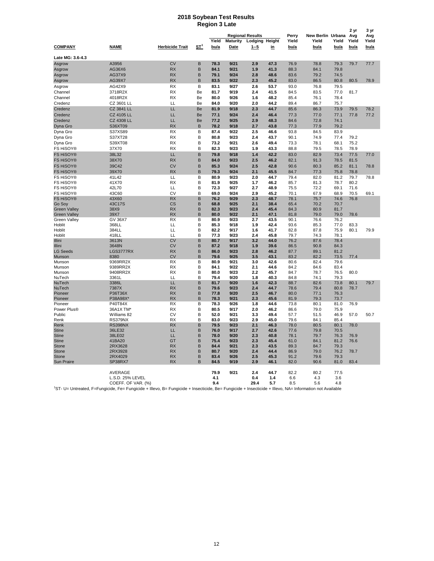#### **2018 Soybean Test Results Region 3 Late**

|                        |                              |                        |                       |              |                 |                               |              |                |                            |              | 2 yr         | 3 yr         |
|------------------------|------------------------------|------------------------|-----------------------|--------------|-----------------|-------------------------------|--------------|----------------|----------------------------|--------------|--------------|--------------|
|                        |                              |                        |                       | Yield        | <b>Maturity</b> | <b>Regional Results</b>       |              | Perry<br>Yield | New Berlin Urbana<br>Yield | Yield        | Avg<br>Yield | Avg<br>Yield |
| <b>COMPANY</b>         | <b>NAME</b>                  | <b>Herbicide Trait</b> | <u>ST<sup>1</sup></u> | bu/a         | Date            | Lodging Height<br><u>1--5</u> | <u>in</u>    | bu/a           | bu/a                       | bu/a         | bu/a         | bu/a         |
|                        |                              |                        |                       |              |                 |                               |              |                |                            |              |              |              |
| Late MG: 3.6-4.3       |                              |                        |                       |              |                 |                               |              |                |                            |              |              |              |
| Asgrow                 | A3956                        | <b>CV</b>              | B                     | 78.3         | 9/21            | 2.9                           | 47.3         | 76.9           | 78.8                       | 79.3         | 79.7         | 77.7         |
| Asgrow                 | AG36X6                       | <b>RX</b>              | B                     | 84.1         | 9/21            | 1.9                           | 41.3         | 88.3           | 84.1                       | 79.8         |              |              |
| Asgrow                 | AG37X9                       | <b>RX</b>              | B                     | 79.1         | 9/24            | 2.8                           | 48.6         | 83.6           | 79.2                       | 74.5         |              |              |
| Asgrow                 | AG39X7                       | <b>RX</b>              | B                     | 83.5         | 9/22            | 2.3                           | 45.2         | 83.0           | 86.5                       | 80.8         | 80.5         | 78.9         |
| Asgrow                 | AG42X9                       | <b>RX</b>              | B                     | 83.1         | 9/27            | 2.6                           | 53.7         | 93.0           | 76.8                       | 79.5         |              |              |
| Channel                | 3718R2X                      | <b>RX</b>              | Be                    | 81.7         | 9/19            | 2.4                           | 41.5         | 84.5           | 83.5                       | 77.0         | 81.7         |              |
| Channel                | 4018R2X                      | <b>RX</b>              | Be                    | 80.0         | 9/26            | 1.6                           | 48.2         | 85.4           | 76.1                       | 78.4         |              |              |
| Credenz                | CZ 3601 LL                   | LL                     | Be                    | 84.0         | 9/20            | 2.0                           | 44.2         | 89.4           | 86.7                       | 75.7         |              |              |
| Credenz                | CZ 3841 LL                   | LL.<br>LL              | Be<br>Be              | 81.9         | 9/18<br>9/24    | 2.3                           | 44.7         | 85.6           | 86.3                       | 73.9         | 79.5         | 78.2<br>77.2 |
| Credenz                | <b>CZ 4105 LL</b>            |                        |                       | 77.1         |                 | 2.4                           | 46.4         | 77.3           | 77.0                       | 77.1         | 77.8         |              |
| Credenz                | <b>CZ 4308 LL</b><br>S36XT09 | LL<br><b>RX</b>        | Be<br>B               | 77.2<br>78.2 | 9/25<br>9/18    | 2.9<br>2.7                    | 48.3<br>43.8 | 84.6           | 72.8<br>77.9               | 74.1<br>79.2 |              |              |
| Dyna Gro<br>Dyna Gro   | S37XS89                      | <b>RX</b>              | B                     | 87.4         | 9/22            | 2.5                           | 46.6         | 77.3<br>93.8   | 84.5                       | 83.9         |              |              |
| Dyna Gro               | S37XT28                      | <b>RX</b>              | B                     | 80.8         | 9/23            | 2.4                           | 43.7         | 90.1           | 74.9                       | 77.4         | 79.2         |              |
| Dyna Gro               | S39XT08                      | <b>RX</b>              | в                     | 73.2         | 9/21            | 2.6                           | 49.4         | 73.3           | 78.1                       | 68.1         | 75.2         |              |
| FS HiSOY®              | 37X70                        | <b>RX</b>              | B                     | 82.3         | 9/23            | 1.9                           | 43.3         | 88.8           | 79.5                       | 78.5         | 78.9         |              |
| <b>FS HiSOY®</b>       | 38L32                        | LL                     | B                     | 79.8         | 9/18            | 1.4                           | 42.2         | 83.0           | 82.9                       | 73.4         | 77.5         | 77.0         |
| <b>FS HiSOY®</b>       | 38X70                        | <b>RX</b>              | B                     | 84.0         | 9/23            | 2.5                           | 46.2         | 82.1           | 91.3                       | 78.5         | 81.5         |              |
| <b>FS HiSOY®</b>       | 39C42                        | <b>CV</b>              | B                     | 85.3         | 9/24            | 2.5                           | 42.8         | 90.6           | 80.3                       | 85.2         | 81.1         | 78.8         |
| <b>FS HiSOY®</b>       | 39X70                        | <b>RX</b>              | B                     | 79.3         | 9/24            | 2.1                           | 45.5         | 84.7           | 77.3                       | 75.8         | 78.8         |              |
| FS HiSOY®              | 41L42                        | LL                     | B                     | 80.9         | 9/23            | 2.0                           | 44.7         | 79.4           | 82.0                       | 81.2         | 79.7         | 78.8         |
| FS HiSOY®              | 41X70                        | <b>RX</b>              | B                     | 81.9         | 9/25            | 1.7                           | 46.2         | 85.7           | 81.3                       | 78.7         | 80.2         |              |
| FS HiSOY®              | 42L70                        | LL                     | В                     | 72.3         | 9/27            | 2.7                           | 48.9         | 75.5           | 72.2                       | 69.1         | 71.6         |              |
| FS HiSOY®              | 43C60                        | CV                     | B                     | 69.0         | 9/24            | 2.9                           | 45.2         | 70.1           | 67.9                       | 68.9         | 70.5         | 69.1         |
| <b>FS HiSOY®</b>       | 43X60                        | <b>RX</b>              | B                     | 76.2         | 9/29            | 2.3                           | 48.7         | 78.1           | 75.7                       | 74.6         | 76.8         |              |
| Go Soy                 | 43C17S                       | <b>CS</b>              | B                     | 68.8         | 9/25            | 2.1                           | 38.4         | 65.4           | 70.2                       | 70.7         |              |              |
| <b>Green Valley</b>    | 38X9                         | <b>RX</b>              | B                     | 82.3         | 9/23            | 2.4                           | 45.4         | 84.3           | 80.9                       | 81.7         |              |              |
| Green Valley           | 39X7                         | <b>RX</b>              | B                     | 80.0<br>80.9 | 9/22            | 2.1                           | 47.1         | 81.8           | 79.0                       | 79.0         | 78.6         |              |
| Green Valley<br>Hoblit | GV 36X7<br>368LL             | RX<br>LL               | B<br>B                | 85.3         | 9/23<br>9/18    | 2.7<br>1.9                    | 43.5<br>42.4 | 90.1<br>93.6   | 76.6<br>85.3               | 76.2<br>77.0 | 83.3         |              |
| Hoblit                 | 384LL                        | LL                     | B                     | 82.2         | 9/17            | 1.6                           | 41.7         | 82.8           | 87.8                       | 75.9         | 80.1         | 79.9         |
| Hoblit                 | 418LL                        | LL                     | B                     | 77.3         | 9/23            | 2.4                           | 45.8         | 79.7           | 74.3                       | 78.1         |              |              |
| Illini                 | 3613N                        | <b>CV</b>              | B                     | 80.7         | 9/17            | 3.2                           | 44.0         | 76.2           | 87.6                       | 78.4         |              |              |
| Illini                 | 3648N                        | <b>CV</b>              | B                     | 87.2         | 9/18            | 1.9                           | 39.6         | 86.5           | 90.8                       | 84.3         |              |              |
| <b>LG Seeds</b>        | LGS3777RX                    | <b>RX</b>              | B                     | 86.0         | 9/23            | 2.8                           | 46.2         | 87.7           | 89.1                       | 81.2         |              |              |
| Munson                 | 8380                         | <b>CV</b>              | B                     | 79.6         | 9/25            | 3.5                           | 43.1         | 83.2           | 82.2                       | 73.5         | 77.4         |              |
| Munson                 | 9369RR2X                     | <b>RX</b>              | B                     | 80.9         | 9/21            | 3.0                           | 42.6         | 80.6           | 82.4                       | 79.6         |              |              |
| Munson                 | 9389RR2X                     | <b>RX</b><br><b>RX</b> | B<br>B                | 84.1<br>80.0 | 9/22<br>9/23    | 2.1<br>2.2                    | 44.6         | 84.2<br>84.7   | 84.6                       | 83.4         |              |              |
| Munson<br>NuTech       | 9408RR2X<br>3361L            | LL                     | B                     | 79.4         | 9/20            | 1.8                           | 45.7<br>40.3 | 84.8           | 78.7<br>74.1               | 76.5<br>79.3 | 80.0         |              |
| NuTech                 | 3386L                        | LL                     | B                     | 81.7         | 9/20            | 1.6                           | 42.3         | 88.7           | 82.6                       | 73.8         | 80.1         | 79.7         |
| NuTech                 | 7387X                        | <b>RX</b>              | B                     | 79.6         | 9/23            | 2.4                           | 44.7         | 78.6           | 79.4                       | 80.8         | 78.7         |              |
| Pioneer                | P36T36X                      | <b>RX</b>              | B                     | 77.8         | 9/20            | 2.5                           | 46.7         | 80.0           | 77.1                       | 76.3         |              |              |
| Pioneer                | P38A98X*                     | <b>RX</b>              | B                     | 78.3         | 9/21            | 2.3                           | 45.6         | 81.9           | 79.3                       | 73.7         |              |              |
| Pioneer                | P40T84X                      | <b>RX</b>              | B                     | 78.3         | 9/26            | 1.8                           | 44.6         | 73.8           | 80.1                       | 81.0         | 76.9         |              |
| Power Plus®            | 36A1X TM*                    | <b>RX</b>              | B                     | 80.5         | 9/17            | 2.0                           | 46.2         | 86.6           | 79.0                       | 75.9         |              |              |
| Public                 | Williams 82                  | CV                     | B                     | 52.0         | 9/21            | 3.3                           | 49.4         | 57.7           | 51.5                       | 46.9         | 57.0         | 50.7         |
| Renk<br>Renk           | RS379NX<br><b>RS398NX</b>    | <b>RX</b><br><b>RX</b> | B<br>B                | 83.0<br>79.5 | 9/23<br>9/23    | 2.9<br>2.1                    | 45.0<br>46.3 | 79.6<br>78.0   | 84.1<br>80.5               | 85.4<br>80.1 | 78.0         |              |
| <b>Stine</b>           | 36LE32                       | LL                     | B                     | 76.0         | 9/17            | 2.7                           | 42.6         | 77.6           | 79.8                       | 70.5         |              |              |
| <b>Stine</b>           | 38LE02                       | LL                     | B                     | 78.0         | 9/20            | 2.3                           | 40.8         | 78.1           | 79.7                       | 76.3         | 76.9         |              |
| <b>Stine</b>           | 41BA20                       | GT                     | B                     | 75.4         | 9/23            | 2.3                           | 45.4         | 61.0           | 84.1                       | 81.2         | 76.6         |              |
| Stone                  | 2RX3628                      | <b>RX</b>              | B                     | 84.4         | 9/21            | 2.3                           | 43.5         | 89.3           | 84.7                       | 79.3         |              |              |
| Stone                  | 2RX3928                      | <b>RX</b>              | B                     | 80.7         | 9/20            | 2.4                           | 44.4         | 86.9           | 79.0                       | 76.2         | 78.7         |              |
| <b>Stone</b>           | 2RX4029                      | <b>RX</b>              | B                     | 83.4         | 9/26            | 2.5                           | 45.3         | 91.2           | 79.6                       | 79.3         |              |              |
| <b>Sun Praire</b>      | SP38RX7                      | <b>RX</b>              | B                     | 84.5         | 9/19            | 2.9                           | 46.1         | 82.0           | 90.6                       | 81.0         | 83.4         |              |
|                        |                              |                        |                       |              |                 |                               |              |                |                            |              |              |              |
|                        | AVERAGE<br>L.S.D. 25% LEVEL  |                        |                       | 79.9         | 9/21            | 2.4                           | 44.7         | 82.2           | 80.2                       | 77.5<br>3.6  |              |              |
|                        | COEFF. OF VAR. (%)           |                        |                       | 4.1<br>9.4   |                 | 0.4<br>29.4                   | 1.4<br>5.7   | 6.6<br>8.5     | 4.3<br>5.6                 | 4.8          |              |              |
|                        |                              |                        |                       |              |                 |                               |              |                |                            |              |              |              |

<sup>1</sup>ST- U= Untreated, F=Fungicide, Fe= Fungicide + Illevo, B= Fungicide + Insecticide, Be= Fungicide + Insecticide + Illevo, NA= Information not Available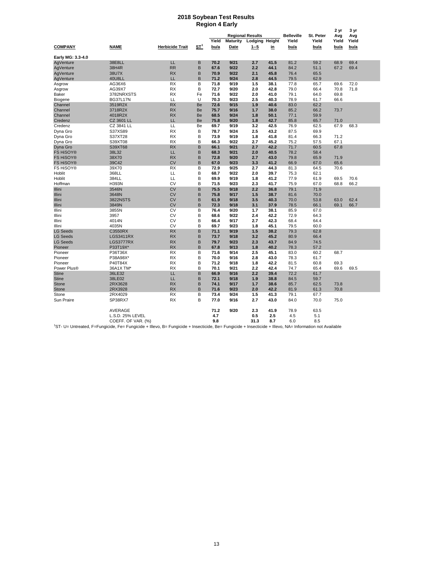#### **2018 Soybean Test Results Region 4 Early**

|                       |                                                                                                                                                                     |                        |                       |       |                 | <b>Regional Results</b> |           | <b>Belleville</b> | St. Peter | 2 yr<br>Avg | 3 yr<br>Avg |
|-----------------------|---------------------------------------------------------------------------------------------------------------------------------------------------------------------|------------------------|-----------------------|-------|-----------------|-------------------------|-----------|-------------------|-----------|-------------|-------------|
|                       |                                                                                                                                                                     |                        |                       | Yield | <b>Maturity</b> | Lodging Height          |           | Yield             | Yield     | Yield       | Yield       |
| <b>COMPANY</b>        | NAME                                                                                                                                                                | <b>Herbicide Trait</b> | <u>ST<sup>1</sup></u> | bu/a  | Date            | <u>1--5</u>             | <u>in</u> | bu/a              | bu/a      | bu/a        | bu/a        |
| Early MG: 3.3-4.0     |                                                                                                                                                                     |                        |                       |       |                 |                         |           |                   |           |             |             |
| AgVenture             | 38E8LL                                                                                                                                                              | LL                     | B                     | 70.2  | 9/21            | 2.7                     | 41.5      | 81.2              | 59.2      | 68.9        | 69.4        |
| AgVenture             | 38H4R                                                                                                                                                               | <b>RR</b>              | B                     | 67.6  | 9/22            | 2.2                     | 44.1      | 84.2              | 51.1      | 67.2        | 69.4        |
| AgVenture             | 38U7X                                                                                                                                                               | <b>RX</b>              | B                     | 70.9  | 9/22            | 2.1                     | 45.8      | 76.4              | 65.5      |             |             |
| AgVenture             | 40U8LL                                                                                                                                                              | LL                     | B                     | 71.2  | 9/24            | 2.8                     | 44.5      | 79.5              | 62.9      |             |             |
| Asgrow                | AG36X6                                                                                                                                                              | <b>RX</b>              | B                     | 71.8  | 9/19            | 1.5                     | 38.1      | 77.8              | 65.7      | 69.6        | 72.0        |
| Asgrow                | AG39X7                                                                                                                                                              | <b>RX</b>              | B                     | 72.7  | 9/20            | 2.0                     | 42.8      | 79.0              | 66.4      | 70.8        | 71.8        |
| Baker                 | 3782NRXSTS                                                                                                                                                          | <b>RX</b>              | Fe                    | 71.6  | 9/22            | 2.0                     | 41.0      | 79.1              | 64.0      | 69.8        |             |
| Biogene               | <b>BG37L17N</b>                                                                                                                                                     | LL                     | U                     | 70.3  | 9/23            | 2.5                     | 40.3      | 78.9              | 61.7      | 66.6        |             |
| Channel               | 3519R2X                                                                                                                                                             | <b>RX</b>              | Be                    | 72.6  | 9/15            | 1.9                     | 40.6      | 83.0              | 62.2      |             |             |
| Channel               | 3718R2X                                                                                                                                                             | <b>RX</b>              | Be                    | 75.7  | 9/16            | 1.7                     | 38.0      | 85.2              | 66.2      | 73.7        |             |
| Channel               | 4018R2X                                                                                                                                                             | <b>RX</b>              | Be                    | 68.5  | 9/24            | 1.8                     | 50.1      | 77.1              | 59.9      |             |             |
| Credenz               | <b>CZ 3601 LL</b>                                                                                                                                                   | LL                     | Be                    | 75.8  | 9/20            | 1.8                     | 42.7      | 85.8              | 65.7      | 71.0        |             |
| Credenz               | CZ 3841 LL                                                                                                                                                          | LL                     | Be                    | 69.7  | 9/19            | 3.2                     | 42.5      | 76.9              | 62.5      | 67.9        | 68.3        |
| Dyna Gro              | S37XS89                                                                                                                                                             | <b>RX</b>              | B                     | 78.7  | 9/24            | 2.5                     | 43.2      | 87.5              | 69.9      |             |             |
|                       | S37XT28                                                                                                                                                             | <b>RX</b>              | B                     | 73.9  | 9/19            | 1.8                     | 41.8      | 81.4              | 66.3      | 71.2        |             |
| Dyna Gro              |                                                                                                                                                                     | <b>RX</b>              | B                     | 66.3  | 9/22            | 2.7                     |           | 75.2              |           |             |             |
| Dyna Gro              | S39XT08                                                                                                                                                             |                        |                       |       |                 |                         | 45.2      |                   | 57.5      | 67.1        |             |
| Dyna Gro              | S39XT68                                                                                                                                                             | <b>RX</b>              | B                     | 66.1  | 9/21            | 2.7                     | 42.2      | 71.7              | 60.5      | 67.8        |             |
| <b>FS HiSOY®</b>      | 38L32                                                                                                                                                               | LL                     | B                     | 68.3  | 9/21            | 2.0                     | 40.5      | 78.2              | 58.4      |             |             |
| <b>FS HiSOY®</b>      | 38X70                                                                                                                                                               | <b>RX</b>              | B                     | 72.8  | 9/20            | 2.7                     | 43.0      | 79.8              | 65.9      | 71.9        |             |
| <b>FS HiSOY®</b>      | 39C42                                                                                                                                                               | <b>CV</b>              | B                     | 67.0  | 9/23            | 3.3                     | 41.2      | 66.9              | 67.0      | 65.6        |             |
| FS HiSOY®             | 39X70                                                                                                                                                               | <b>RX</b>              | B                     | 72.9  | 9/25            | 2.7                     | 44.3      | 81.3              | 64.5      | 70.6        |             |
| Hoblit                | 368LL                                                                                                                                                               | LL                     | B                     | 68.7  | 9/22            | 2.0                     | 39.7      | 75.3              | 62.1      |             |             |
| Hoblit                | 384LL                                                                                                                                                               | LL                     | B                     | 69.9  | 9/19            | 1.8                     | 41.2      | 77.9              | 61.9      | 69.5        | 70.6        |
| Hoffman               | H393N                                                                                                                                                               | CV                     | B                     | 71.5  | 9/23            | 2.3                     | 41.7      | 75.9              | 67.0      | 68.8        | 66.2        |
| Illini                | 3546N                                                                                                                                                               | <b>CV</b>              | B                     | 75.5  | 9/18            | 2.2                     | 36.8      | 79.1              | 71.9      |             |             |
| Illini                | 3648N                                                                                                                                                               | <b>CV</b>              | B                     | 75.8  | 9/17            | 1.5                     | 38.7      | 81.6              | 70.0      |             |             |
| Illini                | 3822NSTS                                                                                                                                                            | <b>CV</b>              | B                     | 61.9  | 9/18            | 3.5                     | 40.3      | 70.0              | 53.8      | 63.0        | 62.4        |
| Illini                | 3849N                                                                                                                                                               | <b>CV</b>              | B                     | 72.3  | 9/18            | 3.1                     | 37.9      | 78.5              | 66.1      | 69.1        | 66.7        |
| Illini                | 3855N                                                                                                                                                               | CV                     | B                     | 76.4  | 9/20            | 1.7                     | 38.1      | 85.9              | 67.0      |             |             |
| Illini                | 3957                                                                                                                                                                | CV                     | B                     | 68.6  | 9/22            | 2.4                     | 42.2      | 72.9              | 64.3      |             |             |
| Illini                | 4014N                                                                                                                                                               | CV                     | B                     | 66.4  | 9/17            | 2.7                     | 42.3      | 68.4              | 64.4      |             |             |
| Illini                | 4035N                                                                                                                                                               | CV                     | B                     | 69.7  | 9/23            | 1.8                     | 45.1      | 79.5              | 60.0      |             |             |
| <b>LG Seeds</b>       | C3550RX                                                                                                                                                             | <b>RX</b>              | B                     | 71.1  | 9/19            | 1.5                     | 38.2      | 79.3              | 62.8      |             |             |
| <b>LG Seeds</b>       | <b>LGS3411RX</b>                                                                                                                                                    | <b>RX</b>              | B                     | 73.7  | 9/18            | 3.2                     | 45.2      | 80.9              | 66.4      |             |             |
| <b>LG Seeds</b>       | LGS3777RX                                                                                                                                                           | <b>RX</b>              | B                     | 79.7  | 9/23            | 2.3                     | 43.7      | 84.9              | 74.5      |             |             |
| Pioneer               | P33T19X*                                                                                                                                                            | <b>RX</b>              | B                     | 67.8  | 9/13            | 1.8                     | 40.2      | 78.3              | 57.2      |             |             |
| Pioneer               | P36T36X                                                                                                                                                             | RX                     | B                     | 71.6  | 9/14            | 2.5                     | 45.1      | 83.0              | 60.2      | 68.7        |             |
| Pioneer               | P38A98X*                                                                                                                                                            | <b>RX</b>              | B                     | 70.0  | 9/16            | 2.8                     | 43.0      | 78.3              | 61.7      |             |             |
| Pioneer               | P40T84X                                                                                                                                                             | <b>RX</b>              | B                     | 71.2  | 9/18            | 1.8                     | 42.2      | 81.5              | 60.8      | 69.3        |             |
| Power Plus®           | 36A1X TM*                                                                                                                                                           | <b>RX</b>              | B                     | 70.1  | 9/21            | 2.2                     | 42.4      | 74.7              | 65.4      | 69.6        | 69.5        |
|                       | 36LE32                                                                                                                                                              | LL                     | B                     | 66.9  | 9/16            | 2.2                     | 39.4      | 72.2              | 61.7      |             |             |
| Stine<br><b>Stine</b> | 38LE02                                                                                                                                                              | LL                     | B                     | 72.1  | 9/18            | 1.9                     | 38.8      | 84.5              | 59.7      |             |             |
| <b>Stone</b>          | 2RX3628                                                                                                                                                             | <b>RX</b>              | B                     | 74.1  | 9/17            | 1.7                     | 38.6      | 85.7              | 62.5      | 73.8        |             |
|                       |                                                                                                                                                                     |                        | B                     |       |                 |                         |           |                   |           |             |             |
| <b>Stone</b>          | 2RX3928                                                                                                                                                             | <b>RX</b>              |                       | 71.6  | 9/23            | 2.0                     | 42.2      | 81.9              | 61.3      | 70.8        |             |
| Stone                 | 2RX4029                                                                                                                                                             | <b>RX</b>              | B                     | 73.4  | 9/24            | 1.5                     | 41.3      | 79.1              | 67.7      |             |             |
| Sun Praire            | SP38RX7                                                                                                                                                             | <b>RX</b>              | в                     | 77.0  | 9/16            | 2.7                     | 43.0      | 84.0              | 70.0      | 75.0        |             |
|                       | AVERAGE                                                                                                                                                             |                        |                       | 71.2  | 9/20            | 2.3                     | 41.9      | 78.9              | 63.5      |             |             |
|                       | L.S.D. 25% LEVEL                                                                                                                                                    |                        |                       | 4.7   |                 | 0.5                     | 2.5       | 4.5               | 5.1       |             |             |
|                       | COEFF. OF VAR. (%)                                                                                                                                                  |                        |                       | 9.8   |                 | 31.3                    | 8.7       | 6.0               | 8.5       |             |             |
|                       | <sup>1</sup> ST- U= Untreated, F=Fungicide, Fe= Fungicide + Illevo, B= Fungicide + Insecticide, Be= Fungicide + Insecticide + Illevo, NA= Information not Available |                        |                       |       |                 |                         |           |                   |           |             |             |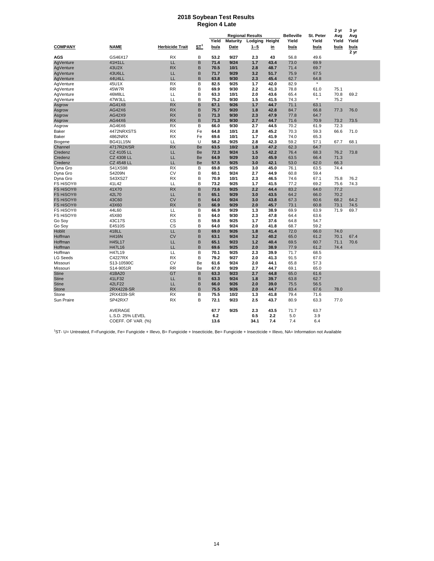#### **2018 Soybean Test Results Region 4 Late**

|                  |                    |                        |            |       |                 |                         |           |                   |           | 2 yr  | 3 yr         |
|------------------|--------------------|------------------------|------------|-------|-----------------|-------------------------|-----------|-------------------|-----------|-------|--------------|
|                  |                    |                        |            |       |                 | <b>Regional Results</b> |           | <b>Belleville</b> | St. Peter | Avg   | Avg          |
|                  |                    |                        |            | Yield | <b>Maturity</b> | Lodging Height          |           | Yield             | Yield     | Yield | Yield        |
| <b>COMPANY</b>   | <b>NAME</b>        | <b>Herbicide Trait</b> | <u>ST'</u> | bu/a  | Date            | $1 - 5$                 | <u>in</u> | bu/a              | bu/a      | bu/a  | bu/a<br>2 yr |
| <b>AGS</b>       | GS46X17            | <b>RX</b>              | B          | 53.2  | 9/27            | 2.3                     | 43        | 56.8              | 49.6      |       |              |
| AgVenture        | 41H1LL             | LL                     | B          | 71.4  | 9/24            | 1.7                     | 43.4      | 73.0              | 69.9      |       |              |
| AgVenture        | 43U2X              | <b>RX</b>              | B          | 70.5  | 10/1            | 2.8                     | 48.7      | 71.4              | 69.7      |       |              |
| AgVenture        | 43U6LL             | LL                     | B          | 71.7  | 9/29            | 3.2                     | 51.7      | 75.9              | 67.5      |       |              |
| AgVenture        | 44U4LL             | LL                     | B          | 63.8  | 9/30            | 2.3                     | 45.4      | 62.7              | 64.8      |       |              |
| AgVenture        | 45U1X              | <b>RX</b>              | B          | 82.5  | 9/25            | 1.7                     | 42.0      | 82.9              |           |       |              |
| AgVenture        | 45W7R              | <b>RR</b>              | B          | 69.9  | 9/30            | 2.2                     | 41.3      | 78.8              | 61.0      | 75.1  |              |
| AgVenture        | 46M8LL             | LL                     | B          | 63.3  | 10/1            | 2.0                     | 43.6      | 65.4              | 61.1      | 70.8  | 69.2         |
| AgVenture        | 47W3LL             | LL                     | B          | 75.2  | 9/30            | 1.5                     | 41.5      | 74.3              |           | 75.2  |              |
| Asgrow           | AG41X8             | <b>RX</b>              | B          | 67.1  | 9/26            | 1.7                     | 44.7      | 71.1              | 63.1      |       |              |
| Asgrow           | AG42X6             | <b>RX</b>              | B          | 75.7  | 9/20            | 1.8                     | 42.8      | 84.7              | 66.8      | 77.3  | 76.0         |
| Asgrow           | AG42X9             | <b>RX</b>              | B          | 71.3  | 9/30            | 2.3                     | 47.9      | 77.8              | 64.7      |       |              |
| Asgrow           | AG44X6             | <b>RX</b>              | B          | 71.3  | 9/30            | 2.7                     | 44.7      | 71.6              | 70.9      | 73.2  | 73.5         |
| Asgrow           | AG46X6             | <b>RX</b>              | B          | 66.0  | 9/30            | 2.7                     | 44.5      | 70.2              | 61.9      | 72.3  |              |
| Baker            | 4472NRXSTS         | <b>RX</b>              | Fe         | 64.8  | 10/1            | 2.8                     | 45.2      | 70.3              | 59.3      | 66.6  | 71.0         |
| Baker            | 4862NRX            | <b>RX</b>              | Fe         | 69.6  | 10/1            | 1.7                     | 41.9      | 74.0              | 65.3      |       |              |
| Biogene          | <b>BG41L15N</b>    | LL                     | U          | 58.2  | 9/25            | 2.8                     | 42.3      | 59.2              | 57.1      | 67.7  | 68.1         |
| Channel          | 4717R2X/SR         | <b>RX</b>              | Be         | 63.5  | 10/2            | 1.8                     | 47.2      | 62.3              | 64.7      |       |              |
| Credenz          | <b>CZ 4105 LL</b>  | LL                     | Be         | 72.3  | 9/24            | 1.5                     | 42.2      | 76.4              | 68.3      | 76.2  | 73.8         |
| Credenz          | <b>CZ 4308 LL</b>  | LL                     | Be         | 64.9  | 9/29            | 3.0                     | 45.9      | 63.5              | 66.4      | 71.3  |              |
| Credenz          | <b>CZ 4548 LL</b>  | LL                     | Be         | 57.5  | 9/25            | 3.0                     | 42.1      | 53.0              | 62.0      | 66.3  |              |
| Dyna Gro         | S41XS98            | <b>RX</b>              | B          | 69.8  | 9/25            | 3.0                     | 45.0      | 76.1              | 63.5      | 74.4  |              |
| Dyna Gro         | S4209N             | CV                     | B          | 60.1  | 9/24            | 2.7                     | 44.9      | 60.8              | 59.4      |       |              |
| Dyna Gro         | S43XS27            | <b>RX</b>              | B          | 70.9  | 10/1            | 2.3                     | 46.5      | 74.6              | 67.1      | 75.8  | 76.2         |
| FS HiSOY®        | 41L42              | LL                     | B          | 73.2  | 9/25            | 1.7                     | 41.5      | 77.2              | 69.2      | 75.6  | 74.3         |
| <b>FS HiSOY®</b> | 41X70              | <b>RX</b>              | B          | 73.6  | 9/25            | 2.2                     | 44.4      | 83.2              | 64.0      | 77.2  |              |
| <b>FS HiSOY®</b> | 42L70              | LL                     | B          | 65.1  | 9/29            | 3.0                     | 43.5      | 64.2              | 66.0      | 70.2  |              |
| <b>FS HiSOY®</b> | 43C60              | <b>CV</b>              | B          | 64.0  | 9/24            | 3.0                     | 43.8      | 67.3              | 60.6      | 68.2  | 64.2         |
| <b>FS HiSOY®</b> | 43X60              | <b>RX</b>              | B          | 66.9  | 9/29            | 2.0                     | 45.7      | 73.1              | 60.8      | 73.1  | 74.5         |
| FS HiSOY®        | 44L60              | LL                     | B          | 66.9  | 9/29            | 1.3                     | 38.9      | 69.9              | 63.9      | 71.9  | 69.7         |
| FS HiSOY®        | 45X80              | <b>RX</b>              | B          | 64.0  | 9/30            | 2.3                     | 47.8      | 64.4              | 63.6      |       |              |
| Go Soy           | 43C17S             | <b>CS</b>              | B          | 59.8  | 9/25            | 1.7                     | 37.6      | 64.8              | 54.7      |       |              |
| Go Soy           | E4510S             | <b>CS</b>              | B          | 64.0  | 9/24            | 2.0                     | 41.8      | 68.7              | 59.2      |       |              |
| <b>Hoblit</b>    | 418LL              | LL.                    | B          | 69.0  | 9/26            | 1.8                     | 41.4      | 72.0              | 66.0      | 74.0  |              |
| Hoffman          | <b>H416N</b>       | <b>CV</b>              | B          | 63.1  | 9/24            | 3.2                     | 40.2      | 65.0              | 61.2      | 70.1  | 67.4         |
| Hoffman          | H45L17             | LL                     | B          | 65.1  | 9/23            | 1.2                     | 40.4      | 69.5              | 60.7      | 71.1  | 70.6         |
| Hoffman          | H47L16             | LL                     | B          | 69.6  | 9/25            | 2.0                     | 38.9      | 77.9              | 61.2      | 74.4  |              |
| Hoffman          | H47L19             | LL                     | B          | 70.1  | 9/25            | 2.3                     | 39.9      | 71.7              | 68.5      |       |              |
| <b>LG Seeds</b>  | C4227RX            | <b>RX</b>              | B          | 79.2  | 9/27            | 2.0                     | 41.3      | 91.5              | 67.0      |       |              |
| Missouri         | S13-10590C         | <b>CV</b>              | Be         | 61.6  | 9/24            | 2.0                     | 44.1      | 65.8              | 57.3      |       |              |
| Missouri         | S14-9051R          | <b>RR</b>              | Be         | 67.0  | 9/29            | 2.7                     | 44.7      | 69.1              | 65.0      |       |              |
| <b>Stine</b>     | 41BA20             | GT                     | B          | 63.3  | 9/23            | 2.7                     | 44.8      | 65.0              | 61.6      |       |              |
| <b>Stine</b>     | 41LF32             | LL                     | B          | 63.3  | 9/24            | 1.8                     | 39.7      | 63.8              | 62.7      |       |              |
| <b>Stine</b>     | 42LF22             | LL.                    | B          | 66.0  | 9/26            | 2.0                     | 39.0      | 75.5              | 56.5      |       |              |
| Stone            | 2RX4228-SR         | <b>RX</b>              | B          | 75.5  | 9/26            | 2.0                     | 44.7      | 83.4              | 67.6      | 78.0  |              |
| Stone            | 2RX4339-SR         | <b>RX</b>              | B          | 75.5  | 10/2            | 1.3                     | 41.8      | 79.4              | 71.6      |       |              |
| Sun Praire       | SP42RX7            | <b>RX</b>              | B          | 72.1  | 9/23            | 2.5                     | 43.7      | 80.9              | 63.3      | 77.0  |              |
|                  | <b>AVERAGE</b>     |                        |            | 67.7  | 9/25            | 2.3                     | 43.5      | 71.7              | 63.7      |       |              |
|                  | L.S.D. 25% LEVEL   |                        |            | 6.2   |                 | 0.5                     | 2.2       | 5.0               | 3.9       |       |              |
|                  | COEFF. OF VAR. (%) |                        |            | 13.6  |                 | 34.1                    | 7.4       | 7.4               | 6.4       |       |              |

<sup>1</sup>ST- U= Untreated, F=Fungicide, Fe= Fungicide + Illevo, B= Fungicide + Insecticide, Be= Fungicide + Insecticide + Illevo, NA= Information not Available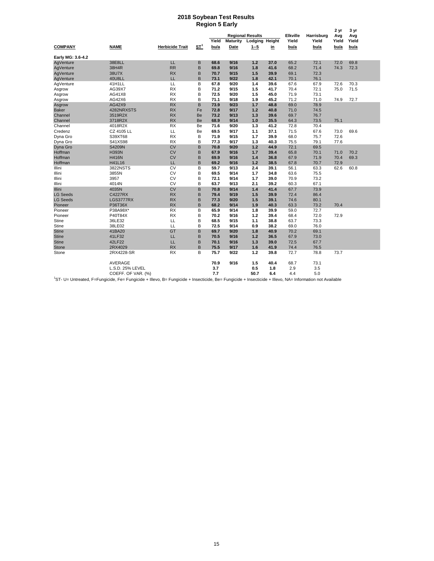#### **2018 Soybean Test Results Region 5 Early**

|                   |                                                                                                                                                           | <b>Herbicide Trait</b> |                 | <b>Regional Results</b>  |      |                |      |                          |                     | 2 yr         | 3 yr         |
|-------------------|-----------------------------------------------------------------------------------------------------------------------------------------------------------|------------------------|-----------------|--------------------------|------|----------------|------|--------------------------|---------------------|--------------|--------------|
| <b>COMPANY</b>    |                                                                                                                                                           |                        | ST <sup>1</sup> | Yield<br><b>Maturity</b> |      | Lodging Height |      | <b>Elkville</b><br>Yield | Harrisburg<br>Yield | Avg<br>Yield | Avg<br>Yield |
|                   | <b>NAME</b>                                                                                                                                               |                        |                 | bu/a                     | Date | $1 - 5$        | in   | bu/a                     | bu/a                | bu/a         | bu/a         |
| Early MG: 3.6-4.2 |                                                                                                                                                           |                        |                 |                          |      |                |      |                          |                     |              |              |
| AgVenture         | 38E8LL                                                                                                                                                    | LL                     | В               | 68.6                     | 9/16 | 1.2            | 37.0 | 65.2                     | 72.1                | 72.0         | 69.8         |
| AgVenture         | 38H4R                                                                                                                                                     | <b>RR</b>              | B               | 69.8                     | 9/16 | 1.8            | 41.6 | 68.2                     | 71.4                | 74.3         | 72.3         |
| AgVenture         | 38U7X                                                                                                                                                     | <b>RX</b>              | B               | 70.7                     | 9/15 | 1.5            | 39.9 | 69.1                     | 72.3                |              |              |
| AgVenture         | 40U8LL                                                                                                                                                    | LL                     | B               | 73.1                     | 9/22 | 1.8            | 42.1 | 70.1                     | 76.1                |              |              |
| AgVenture         | 41H1LL                                                                                                                                                    | LL                     | В               | 67.8                     | 9/20 | 1.4            | 39.6 | 67.6                     | 67.9                | 72.6         | 70.3         |
| Asgrow            | AG39X7                                                                                                                                                    | <b>RX</b>              | B               | 71.2                     | 9/15 | 1.5            | 41.7 | 70.4                     | 72.1                | 75.0         | 71.5         |
| Asgrow            | AG41X8                                                                                                                                                    | <b>RX</b>              | B               | 72.5                     | 9/20 | 1.5            | 45.0 | 71.9                     | 73.1                |              |              |
| Asgrow            | AG42X6                                                                                                                                                    | <b>RX</b>              | B               | 71.1                     | 9/18 | 1.9            | 45.2 | 71.2                     | 71.0                | 74.9         | 72.7         |
| Asgrow            | AG42X9                                                                                                                                                    | <b>RX</b>              | B               | 73.9                     | 9/23 | 1.7            | 48.8 | 69.0                     | 78.9                |              |              |
| <b>Baker</b>      | 4282NRXSTS                                                                                                                                                | <b>RX</b>              | Fe              | 72.8                     | 9/17 | 1.2            | 40.8 | 71.0                     | 74.5                |              |              |
| Channel           | 3519R2X                                                                                                                                                   | <b>RX</b>              | Be              | 73.2                     | 9/13 | 1.3            | 39.6 | 69.7                     | 76.7                |              |              |
| Channel           | 3718R2X                                                                                                                                                   | <b>RX</b>              | Be              | 68.9                     | 9/14 | 1.0            | 35.5 | 64.3                     | 73.5                | 75.1         |              |
| Channel           | 4018R2X                                                                                                                                                   | <b>RX</b>              | Be              | 71.6                     | 9/20 | 1.3            | 41.2 | 72.8                     | 70.4                |              |              |
| Credenz           | CZ 4105 LL                                                                                                                                                | LL                     | Be              | 69.5                     | 9/17 | 1.1            | 37.1 | 71.5                     | 67.6                | 73.0         | 69.6         |
| Dyna Gro          | S39XT68                                                                                                                                                   | <b>RX</b>              | B               | 71.9                     | 9/15 | 1.7            | 39.9 | 68.0                     | 75.7                | 72.6         |              |
| Dyna Gro          | S41XS98                                                                                                                                                   | <b>RX</b>              | B               | 77.3                     | 9/17 | 1.3            | 40.3 | 75.5                     | 79.1                | 77.6         |              |
| Dyna Gro          | S4209N                                                                                                                                                    | <b>CV</b>              | B               | 70.8                     | 9/20 | 1.2            | 44.9 | 72.1                     | 69.5                |              |              |
| Hoffman           | <b>H393N</b>                                                                                                                                              | <b>CV</b>              | B               | 67.9                     | 9/16 | 1.7            | 39.4 | 65.8                     | 70.1                | 71.0         | 70.2         |
| Hoffman           | <b>H416N</b>                                                                                                                                              | <b>CV</b>              | B               | 69.9                     | 9/16 | 1.4            | 36.8 | 67.9                     | 71.9                | 70.4         | 69.3         |
| Hoffman           | H41L16                                                                                                                                                    | LL                     | B               | 69.2                     | 9/16 | 1.2            | 38.5 | 67.8                     | 70.7                | 72.9         |              |
| Illini            | 3822NSTS                                                                                                                                                  | CV                     | B               | 59.7                     | 9/13 | 2.4            | 39.1 | 56.1                     | 63.3                | 62.6         | 60.8         |
| Illini            | 3855N                                                                                                                                                     | <b>CV</b>              | B               | 69.5                     | 9/14 | 1.7            | 34.8 | 63.6                     | 75.5                |              |              |
| Illini            | 3957                                                                                                                                                      | <b>CV</b>              | B               | 72.1                     | 9/14 | 1.7            | 39.0 | 70.9                     | 73.2                |              |              |
| Illini            | 4014N                                                                                                                                                     | CV                     | B               | 63.7                     | 9/13 | 2.1            | 39.2 | 60.3                     | 67.1                |              |              |
| Illini            | 4035N                                                                                                                                                     | <b>CV</b>              | B               | 70.8                     | 9/14 | 1.4            | 41.4 | 67.7                     | 73.9                |              |              |
| <b>LG Seeds</b>   | <b>C4227RX</b>                                                                                                                                            | <b>RX</b>              | B               | 79.4                     | 9/19 | 1.5            | 39.9 | 72.4                     | 86.4                |              |              |
| <b>LG Seeds</b>   | LGS3777RX                                                                                                                                                 | <b>RX</b>              | B               | 77.3                     | 9/20 | 1.5            | 39.1 | 74.6                     | 80.1                |              |              |
| Pioneer           | P36T36X                                                                                                                                                   | <b>RX</b>              | B               | 68.2                     | 9/14 | 1.9            | 40.3 | 63.3                     | 73.2                | 70.4         |              |
| Pioneer           | P38A98X*                                                                                                                                                  | <b>RX</b>              | B               | 65.9                     | 9/14 | 1.8            | 39.9 | 59.0                     | 72.7                |              |              |
| Pioneer           | P40T84X                                                                                                                                                   | <b>RX</b>              | B               | 70.2                     | 9/16 | 1.2            | 39.4 | 68.4                     | 72.0                | 72.9         |              |
| Stine             | 36LE32                                                                                                                                                    | LL                     | B               | 68.5                     | 9/15 | 1.1            | 38.8 | 63.7                     | 73.3                |              |              |
| Stine             | 38LE02                                                                                                                                                    | LL                     | B               | 72.5                     | 9/14 | 0.9            | 38.2 | 69.0                     | 76.0                |              |              |
| <b>Stine</b>      | 41BA20                                                                                                                                                    | GT                     | B               | 69.7                     | 9/20 | 1.8            | 40.9 | 70.2                     | 69.1                |              |              |
| <b>Stine</b>      | 41LF32                                                                                                                                                    | LL                     | B               | 70.5                     | 9/16 | 1.2            | 36.5 | 67.9                     | 73.0                |              |              |
| <b>Stine</b>      | 42LF22                                                                                                                                                    | LL                     | B               | 70.1                     | 9/16 | 1.3            | 39.0 | 72.5                     | 67.7                |              |              |
| <b>Stone</b>      | 2RX4029                                                                                                                                                   | <b>RX</b>              | B               | 75.5                     | 9/17 | 1.6            | 41.9 | 74.4                     | 76.5                |              |              |
| Stone             | 2RX4228-SR                                                                                                                                                | <b>RX</b>              | B               | 75.7                     | 9/22 | 1.2            | 39.8 | 72.7                     | 78.8                | 73.7         |              |
|                   | AVERAGE                                                                                                                                                   |                        |                 | 70.9                     | 9/16 | 1.5            | 40.4 | 68.7                     | 73.1                |              |              |
|                   | L.S.D. 25% LEVEL                                                                                                                                          |                        |                 | 3.7                      |      | 0.5            | 1.8  | 2.9                      | 3.5                 |              |              |
|                   | COEFF. OF VAR. (%)                                                                                                                                        |                        |                 | 7.7                      |      | 50.7           | 6.4  | 4.4                      | 5.0                 |              |              |
|                   | <sup>1</sup> ST II-Harrested E-Fungicide Fe-Fungicide + Illevo B-Fungicide + Insecticide Be-Fungicide + Insecticide + Illevo NA-Information not Available |                        |                 |                          |      |                |      |                          |                     |              |              |

<sup>1</sup>ST- U= Untreated, F=Fungicide, Fe= Fungicide + Illevo, B= Fungicide + Insecticide, Be= Fungicide + Insecticide + Illevo, NA= Information not Available